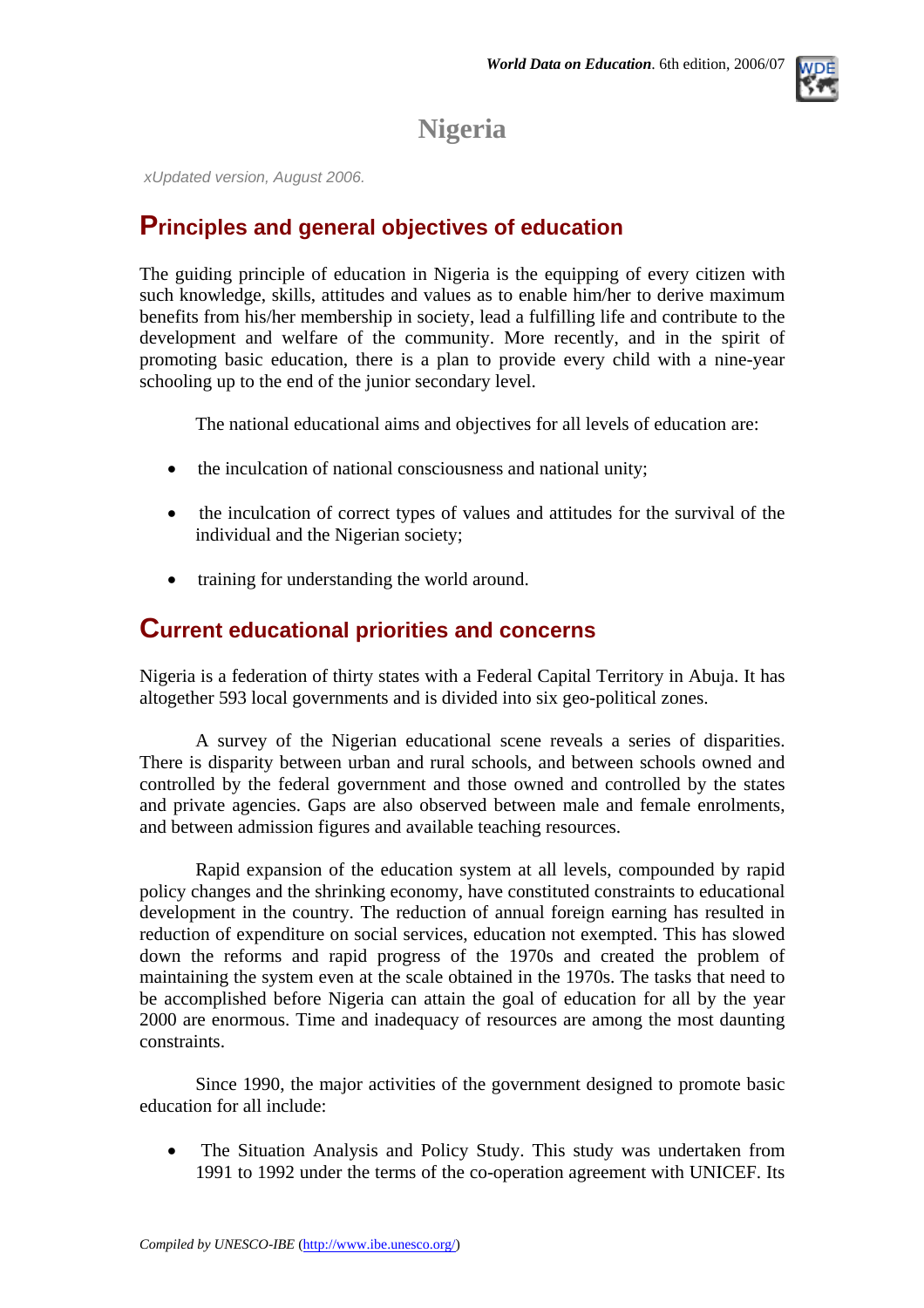## **Nigeria**

*xUpdated version, August 2006.*

### **Principles and general objectives of education**

The guiding principle of education in Nigeria is the equipping of every citizen with such knowledge, skills, attitudes and values as to enable him/her to derive maximum benefits from his/her membership in society, lead a fulfilling life and contribute to the development and welfare of the community. More recently, and in the spirit of promoting basic education, there is a plan to provide every child with a nine-year schooling up to the end of the junior secondary level.

The national educational aims and objectives for all levels of education are:

- the inculcation of national consciousness and national unity;
- the inculcation of correct types of values and attitudes for the survival of the individual and the Nigerian society;
- training for understanding the world around.

### **Current educational priorities and concerns**

Nigeria is a federation of thirty states with a Federal Capital Territory in Abuja. It has altogether 593 local governments and is divided into six geo-political zones.

A survey of the Nigerian educational scene reveals a series of disparities. There is disparity between urban and rural schools, and between schools owned and controlled by the federal government and those owned and controlled by the states and private agencies. Gaps are also observed between male and female enrolments, and between admission figures and available teaching resources.

Rapid expansion of the education system at all levels, compounded by rapid policy changes and the shrinking economy, have constituted constraints to educational development in the country. The reduction of annual foreign earning has resulted in reduction of expenditure on social services, education not exempted. This has slowed down the reforms and rapid progress of the 1970s and created the problem of maintaining the system even at the scale obtained in the 1970s. The tasks that need to be accomplished before Nigeria can attain the goal of education for all by the year 2000 are enormous. Time and inadequacy of resources are among the most daunting constraints.

Since 1990, the major activities of the government designed to promote basic education for all include:

• The Situation Analysis and Policy Study. This study was undertaken from 1991 to 1992 under the terms of the co-operation agreement with UNICEF. Its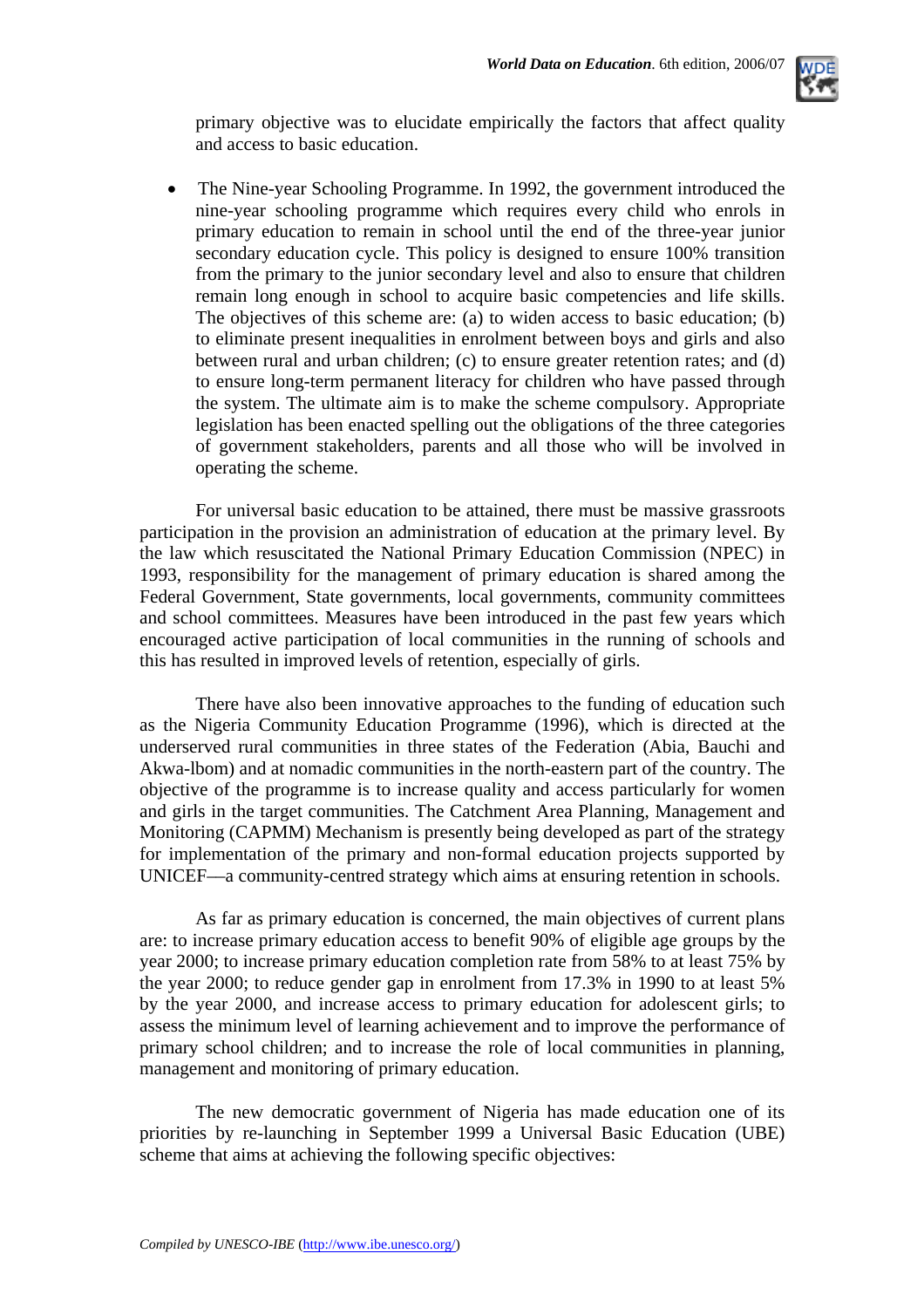

primary objective was to elucidate empirically the factors that affect quality and access to basic education.

• The Nine-year Schooling Programme. In 1992, the government introduced the nine-year schooling programme which requires every child who enrols in primary education to remain in school until the end of the three-year junior secondary education cycle. This policy is designed to ensure 100% transition from the primary to the junior secondary level and also to ensure that children remain long enough in school to acquire basic competencies and life skills. The objectives of this scheme are: (a) to widen access to basic education; (b) to eliminate present inequalities in enrolment between boys and girls and also between rural and urban children; (c) to ensure greater retention rates; and (d) to ensure long-term permanent literacy for children who have passed through the system. The ultimate aim is to make the scheme compulsory. Appropriate legislation has been enacted spelling out the obligations of the three categories of government stakeholders, parents and all those who will be involved in operating the scheme.

For universal basic education to be attained, there must be massive grassroots participation in the provision an administration of education at the primary level. By the law which resuscitated the National Primary Education Commission (NPEC) in 1993, responsibility for the management of primary education is shared among the Federal Government, State governments, local governments, community committees and school committees. Measures have been introduced in the past few years which encouraged active participation of local communities in the running of schools and this has resulted in improved levels of retention, especially of girls.

There have also been innovative approaches to the funding of education such as the Nigeria Community Education Programme (1996), which is directed at the underserved rural communities in three states of the Federation (Abia, Bauchi and Akwa-lbom) and at nomadic communities in the north-eastern part of the country. The objective of the programme is to increase quality and access particularly for women and girls in the target communities. The Catchment Area Planning, Management and Monitoring (CAPMM) Mechanism is presently being developed as part of the strategy for implementation of the primary and non-formal education projects supported by UNICEF––a community-centred strategy which aims at ensuring retention in schools.

As far as primary education is concerned, the main objectives of current plans are: to increase primary education access to benefit 90% of eligible age groups by the year 2000; to increase primary education completion rate from 58% to at least 75% by the year 2000; to reduce gender gap in enrolment from 17.3% in 1990 to at least 5% by the year 2000, and increase access to primary education for adolescent girls; to assess the minimum level of learning achievement and to improve the performance of primary school children; and to increase the role of local communities in planning, management and monitoring of primary education.

The new democratic government of Nigeria has made education one of its priorities by re-launching in September 1999 a Universal Basic Education (UBE) scheme that aims at achieving the following specific objectives: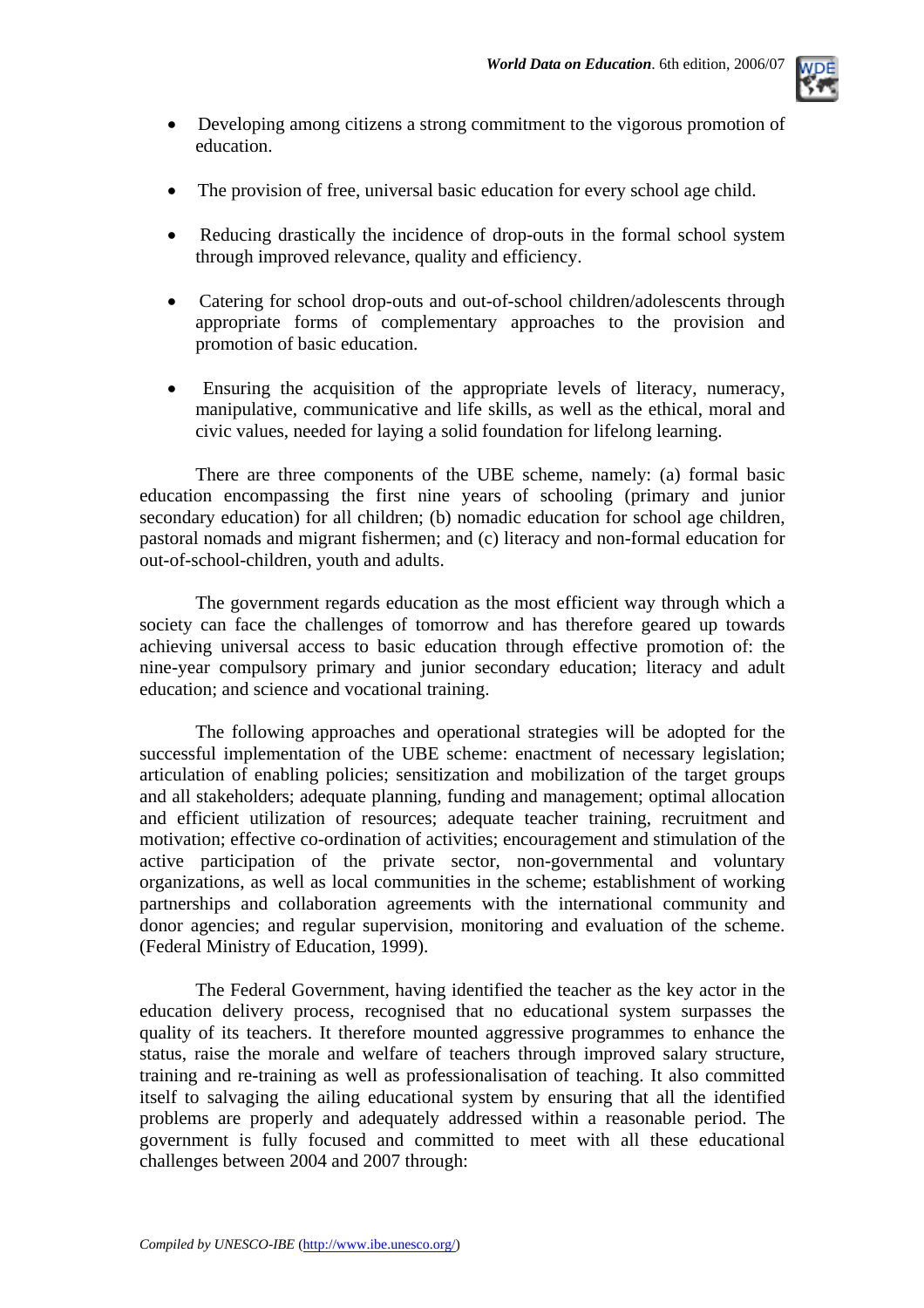

- Developing among citizens a strong commitment to the vigorous promotion of education.
- The provision of free, universal basic education for every school age child.
- Reducing drastically the incidence of drop-outs in the formal school system through improved relevance, quality and efficiency.
- Catering for school drop-outs and out-of-school children/adolescents through appropriate forms of complementary approaches to the provision and promotion of basic education.
- Ensuring the acquisition of the appropriate levels of literacy, numeracy, manipulative, communicative and life skills, as well as the ethical, moral and civic values, needed for laying a solid foundation for lifelong learning.

There are three components of the UBE scheme, namely: (a) formal basic education encompassing the first nine years of schooling (primary and junior secondary education) for all children; (b) nomadic education for school age children, pastoral nomads and migrant fishermen; and (c) literacy and non-formal education for out-of-school-children, youth and adults.

The government regards education as the most efficient way through which a society can face the challenges of tomorrow and has therefore geared up towards achieving universal access to basic education through effective promotion of: the nine-year compulsory primary and junior secondary education; literacy and adult education; and science and vocational training.

The following approaches and operational strategies will be adopted for the successful implementation of the UBE scheme: enactment of necessary legislation; articulation of enabling policies; sensitization and mobilization of the target groups and all stakeholders; adequate planning, funding and management; optimal allocation and efficient utilization of resources; adequate teacher training, recruitment and motivation; effective co-ordination of activities; encouragement and stimulation of the active participation of the private sector, non-governmental and voluntary organizations, as well as local communities in the scheme; establishment of working partnerships and collaboration agreements with the international community and donor agencies; and regular supervision, monitoring and evaluation of the scheme. (Federal Ministry of Education, 1999).

The Federal Government, having identified the teacher as the key actor in the education delivery process, recognised that no educational system surpasses the quality of its teachers. It therefore mounted aggressive programmes to enhance the status, raise the morale and welfare of teachers through improved salary structure, training and re-training as well as professionalisation of teaching. It also committed itself to salvaging the ailing educational system by ensuring that all the identified problems are properly and adequately addressed within a reasonable period. The government is fully focused and committed to meet with all these educational challenges between 2004 and 2007 through: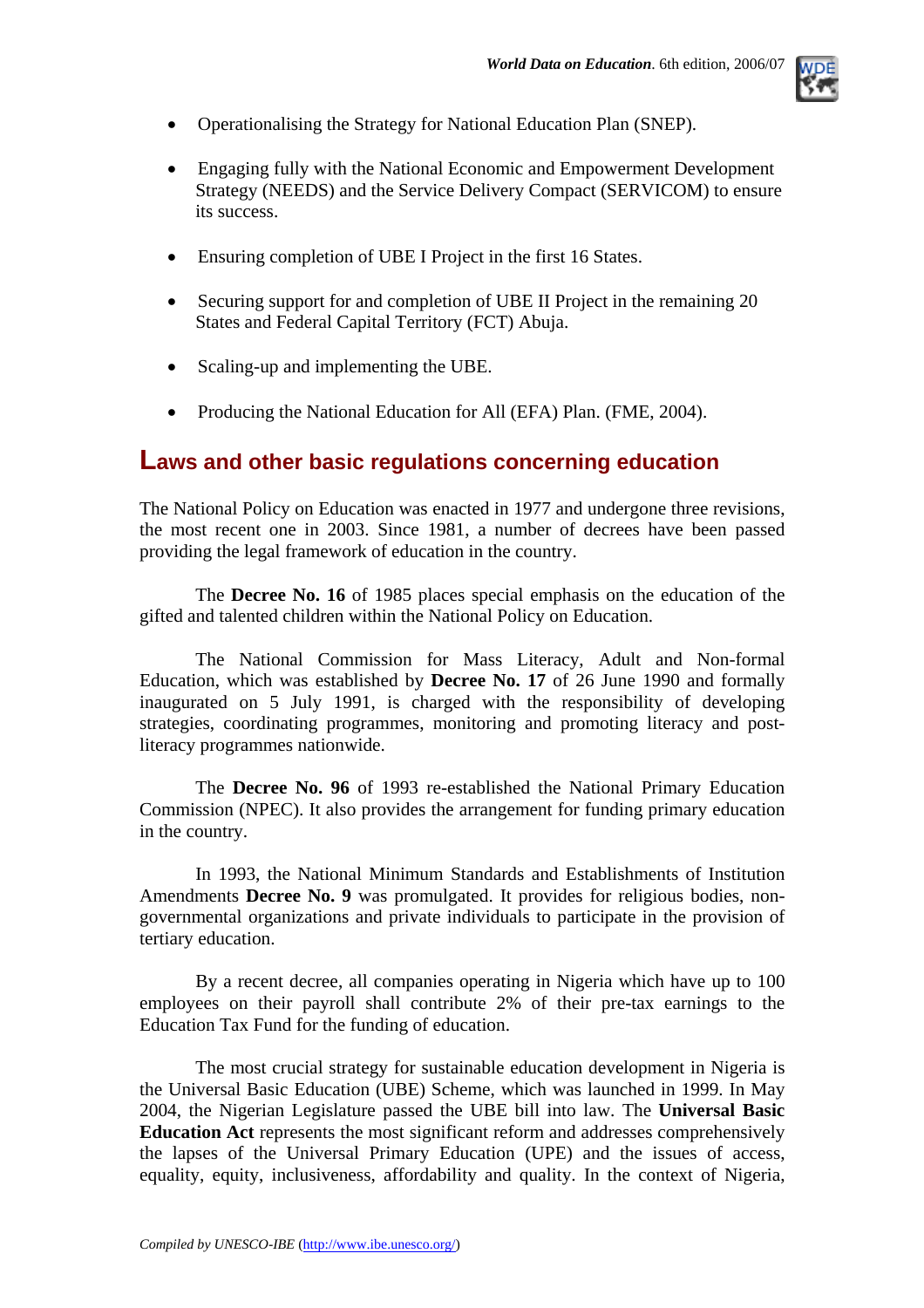

- Operationalising the Strategy for National Education Plan (SNEP).
- Engaging fully with the National Economic and Empowerment Development Strategy (NEEDS) and the Service Delivery Compact (SERVICOM) to ensure its success.
- Ensuring completion of UBE I Project in the first 16 States.
- Securing support for and completion of UBE II Project in the remaining 20 States and Federal Capital Territory (FCT) Abuja.
- Scaling-up and implementing the UBE.
- Producing the National Education for All (EFA) Plan. (FME, 2004).

### **Laws and other basic regulations concerning education**

The National Policy on Education was enacted in 1977 and undergone three revisions, the most recent one in 2003. Since 1981, a number of decrees have been passed providing the legal framework of education in the country.

The **Decree No. 16** of 1985 places special emphasis on the education of the gifted and talented children within the National Policy on Education.

The National Commission for Mass Literacy, Adult and Non-formal Education, which was established by **Decree No. 17** of 26 June 1990 and formally inaugurated on 5 July 1991, is charged with the responsibility of developing strategies, coordinating programmes, monitoring and promoting literacy and postliteracy programmes nationwide.

The **Decree No. 96** of 1993 re-established the National Primary Education Commission (NPEC). It also provides the arrangement for funding primary education in the country.

In 1993, the National Minimum Standards and Establishments of Institution Amendments **Decree No. 9** was promulgated. It provides for religious bodies, nongovernmental organizations and private individuals to participate in the provision of tertiary education.

By a recent decree, all companies operating in Nigeria which have up to 100 employees on their payroll shall contribute 2% of their pre-tax earnings to the Education Tax Fund for the funding of education.

The most crucial strategy for sustainable education development in Nigeria is the Universal Basic Education (UBE) Scheme, which was launched in 1999. In May 2004, the Nigerian Legislature passed the UBE bill into law. The **Universal Basic Education Act** represents the most significant reform and addresses comprehensively the lapses of the Universal Primary Education (UPE) and the issues of access, equality, equity, inclusiveness, affordability and quality. In the context of Nigeria,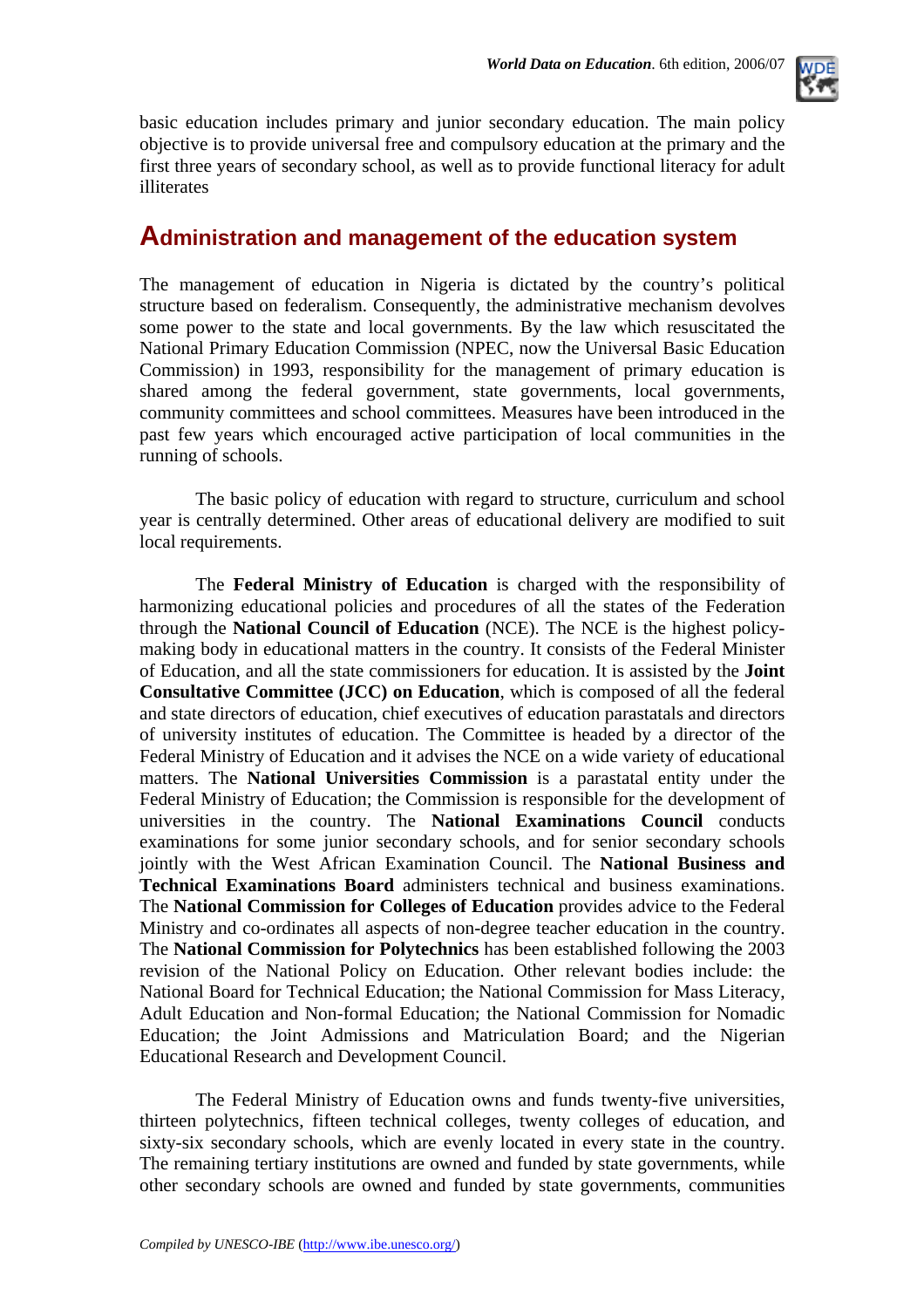

basic education includes primary and junior secondary education. The main policy objective is to provide universal free and compulsory education at the primary and the first three years of secondary school, as well as to provide functional literacy for adult illiterates

### **Administration and management of the education system**

The management of education in Nigeria is dictated by the country's political structure based on federalism. Consequently, the administrative mechanism devolves some power to the state and local governments. By the law which resuscitated the National Primary Education Commission (NPEC, now the Universal Basic Education Commission) in 1993, responsibility for the management of primary education is shared among the federal government, state governments, local governments, community committees and school committees. Measures have been introduced in the past few years which encouraged active participation of local communities in the running of schools.

The basic policy of education with regard to structure, curriculum and school year is centrally determined. Other areas of educational delivery are modified to suit local requirements.

The **Federal Ministry of Education** is charged with the responsibility of harmonizing educational policies and procedures of all the states of the Federation through the **National Council of Education** (NCE). The NCE is the highest policymaking body in educational matters in the country. It consists of the Federal Minister of Education, and all the state commissioners for education. It is assisted by the **Joint Consultative Committee (JCC) on Education**, which is composed of all the federal and state directors of education, chief executives of education parastatals and directors of university institutes of education. The Committee is headed by a director of the Federal Ministry of Education and it advises the NCE on a wide variety of educational matters. The **National Universities Commission** is a parastatal entity under the Federal Ministry of Education; the Commission is responsible for the development of universities in the country. The **National Examinations Council** conducts examinations for some junior secondary schools, and for senior secondary schools jointly with the West African Examination Council. The **National Business and Technical Examinations Board** administers technical and business examinations. The **National Commission for Colleges of Education** provides advice to the Federal Ministry and co-ordinates all aspects of non-degree teacher education in the country. The **National Commission for Polytechnics** has been established following the 2003 revision of the National Policy on Education. Other relevant bodies include: the National Board for Technical Education; the National Commission for Mass Literacy, Adult Education and Non-formal Education; the National Commission for Nomadic Education; the Joint Admissions and Matriculation Board; and the Nigerian Educational Research and Development Council.

The Federal Ministry of Education owns and funds twenty-five universities, thirteen polytechnics, fifteen technical colleges, twenty colleges of education, and sixty-six secondary schools, which are evenly located in every state in the country. The remaining tertiary institutions are owned and funded by state governments, while other secondary schools are owned and funded by state governments, communities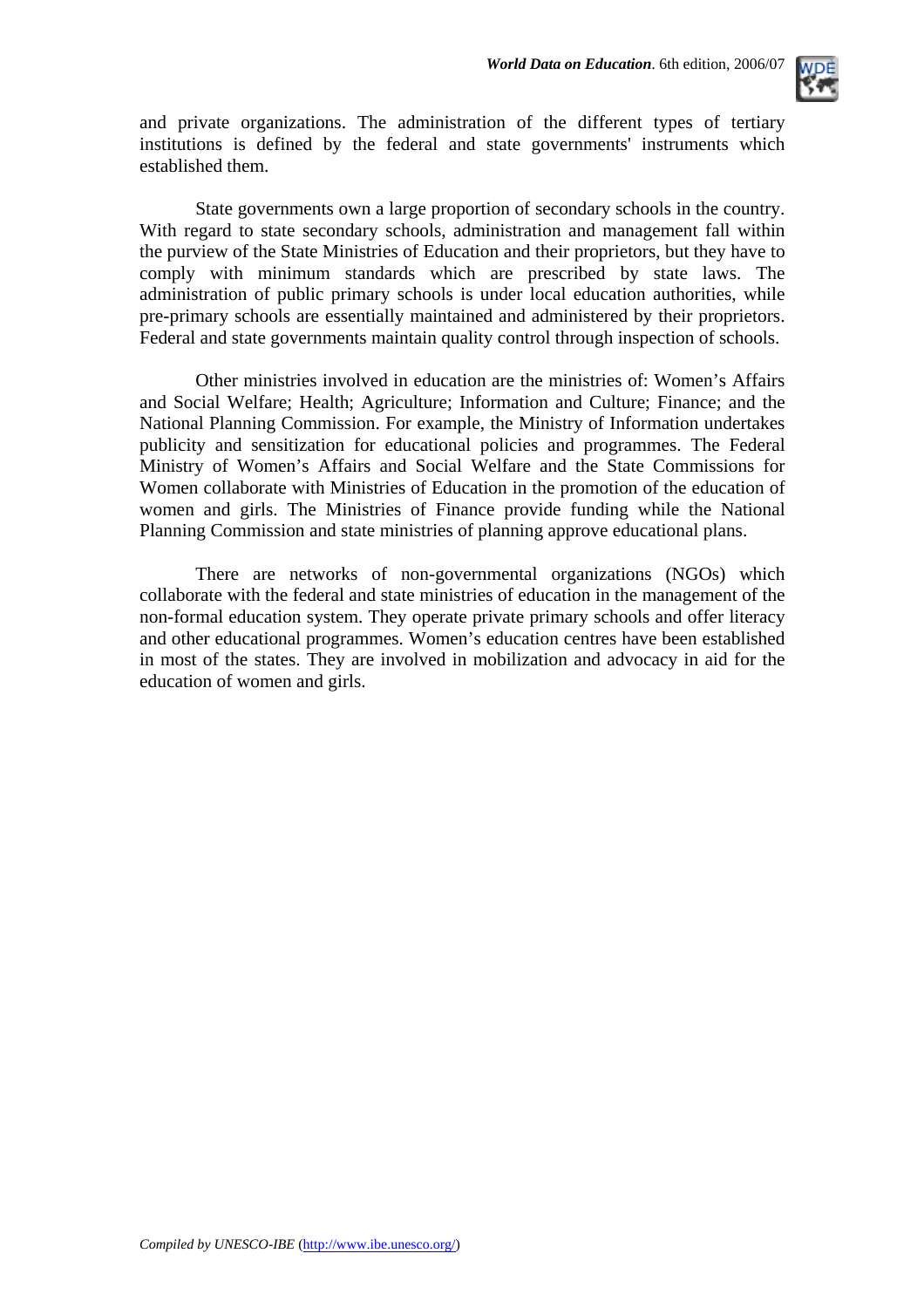

and private organizations. The administration of the different types of tertiary institutions is defined by the federal and state governments' instruments which established them.

State governments own a large proportion of secondary schools in the country. With regard to state secondary schools, administration and management fall within the purview of the State Ministries of Education and their proprietors, but they have to comply with minimum standards which are prescribed by state laws. The administration of public primary schools is under local education authorities, while pre-primary schools are essentially maintained and administered by their proprietors. Federal and state governments maintain quality control through inspection of schools.

Other ministries involved in education are the ministries of: Women's Affairs and Social Welfare; Health; Agriculture; Information and Culture; Finance; and the National Planning Commission. For example, the Ministry of Information undertakes publicity and sensitization for educational policies and programmes. The Federal Ministry of Women's Affairs and Social Welfare and the State Commissions for Women collaborate with Ministries of Education in the promotion of the education of women and girls. The Ministries of Finance provide funding while the National Planning Commission and state ministries of planning approve educational plans.

There are networks of non-governmental organizations (NGOs) which collaborate with the federal and state ministries of education in the management of the non-formal education system. They operate private primary schools and offer literacy and other educational programmes. Women's education centres have been established in most of the states. They are involved in mobilization and advocacy in aid for the education of women and girls.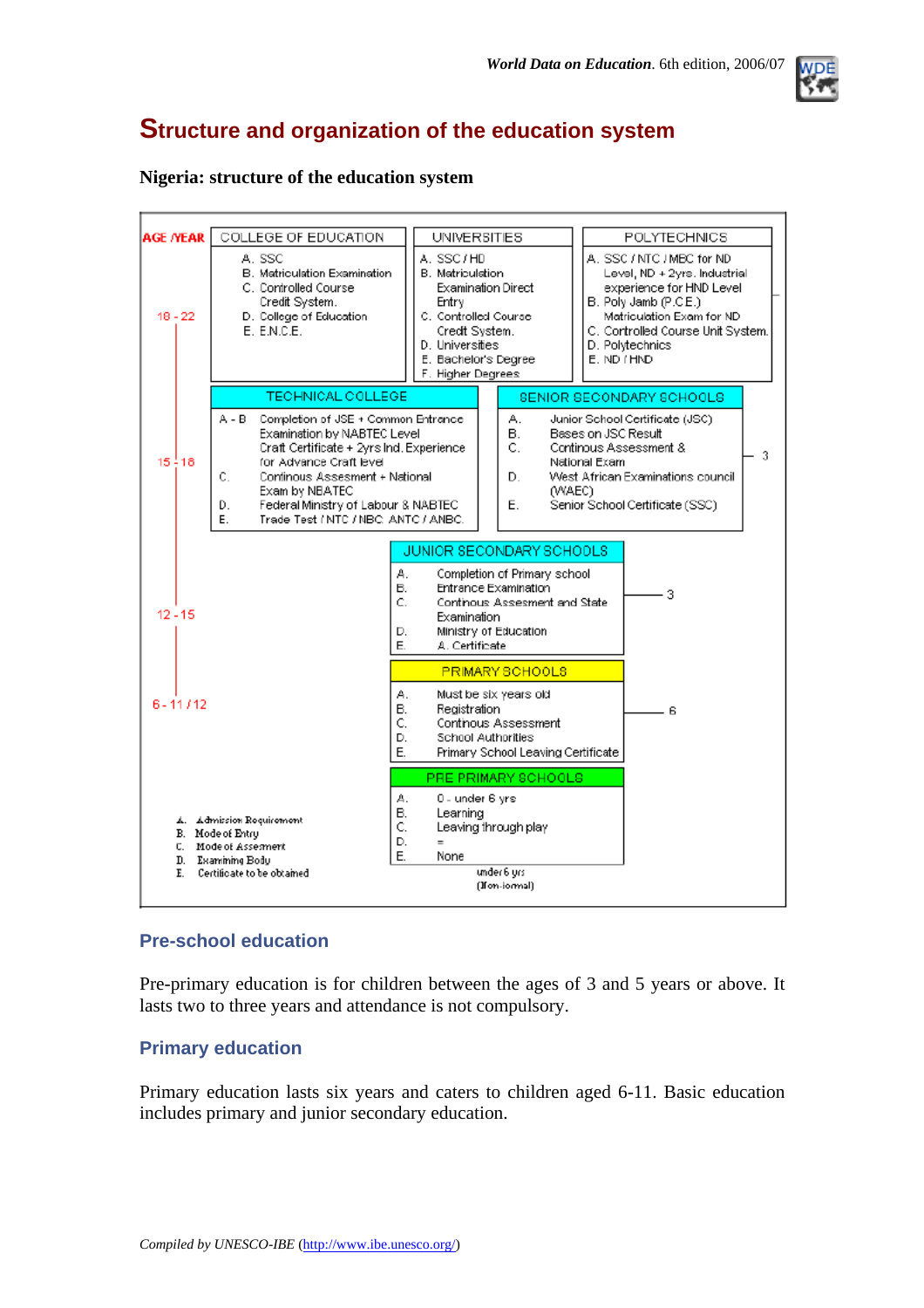

### **Structure and organization of the education system**

#### **Nigeria: structure of the education system**



### **Pre-school education**

Pre-primary education is for children between the ages of 3 and 5 years or above. It lasts two to three years and attendance is not compulsory.

### **Primary education**

Primary education lasts six years and caters to children aged 6-11. Basic education includes primary and junior secondary education.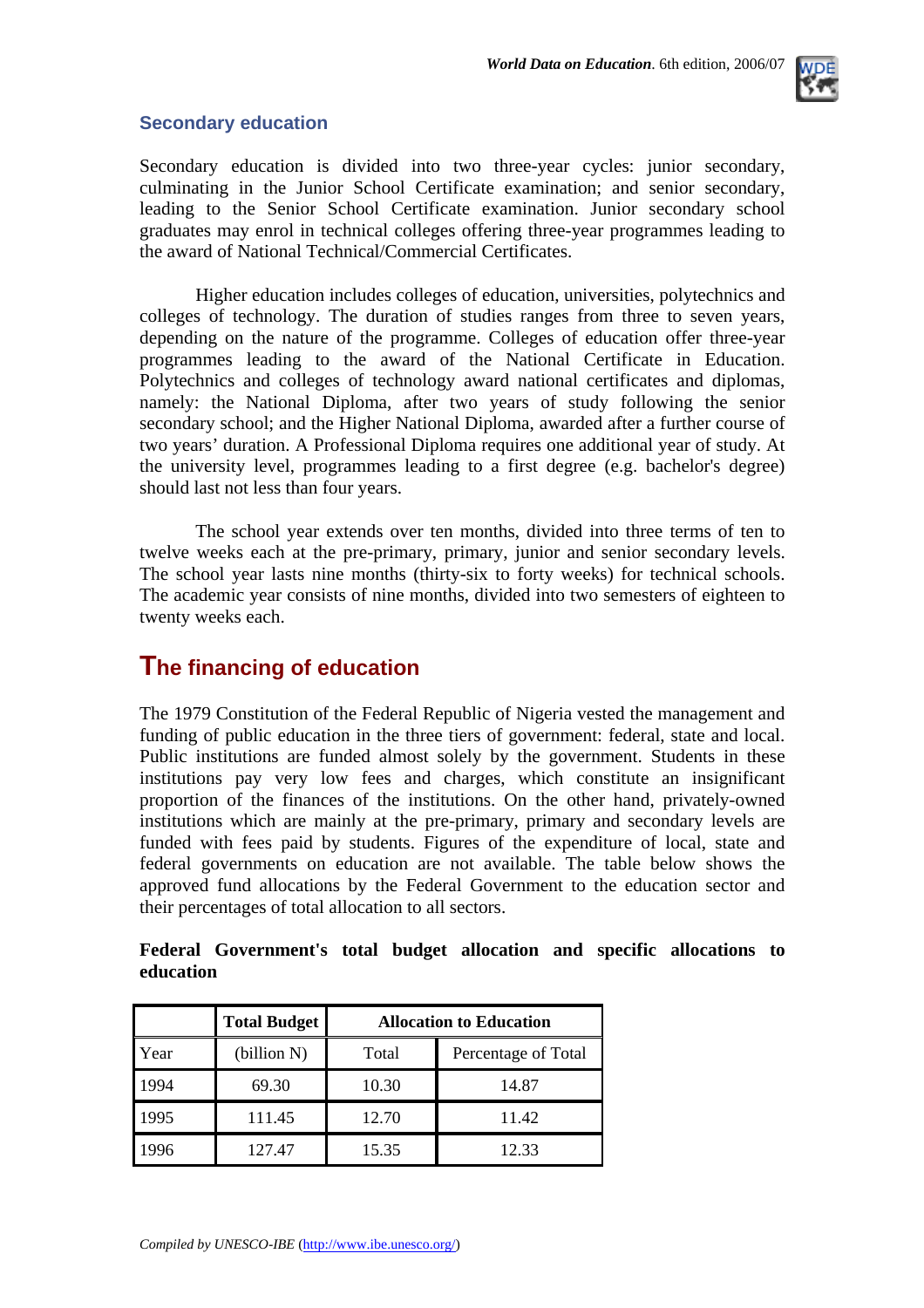

### **Secondary education**

Secondary education is divided into two three-year cycles: junior secondary, culminating in the Junior School Certificate examination; and senior secondary, leading to the Senior School Certificate examination. Junior secondary school graduates may enrol in technical colleges offering three-year programmes leading to the award of National Technical/Commercial Certificates.

Higher education includes colleges of education, universities, polytechnics and colleges of technology. The duration of studies ranges from three to seven years, depending on the nature of the programme. Colleges of education offer three-year programmes leading to the award of the National Certificate in Education. Polytechnics and colleges of technology award national certificates and diplomas, namely: the National Diploma, after two years of study following the senior secondary school; and the Higher National Diploma, awarded after a further course of two years' duration. A Professional Diploma requires one additional year of study. At the university level, programmes leading to a first degree (e.g. bachelor's degree) should last not less than four years.

The school year extends over ten months, divided into three terms of ten to twelve weeks each at the pre-primary, primary, junior and senior secondary levels. The school year lasts nine months (thirty-six to forty weeks) for technical schools. The academic year consists of nine months, divided into two semesters of eighteen to twenty weeks each.

### **The financing of education**

The 1979 Constitution of the Federal Republic of Nigeria vested the management and funding of public education in the three tiers of government: federal, state and local. Public institutions are funded almost solely by the government. Students in these institutions pay very low fees and charges, which constitute an insignificant proportion of the finances of the institutions. On the other hand, privately-owned institutions which are mainly at the pre-primary, primary and secondary levels are funded with fees paid by students. Figures of the expenditure of local, state and federal governments on education are not available. The table below shows the approved fund allocations by the Federal Government to the education sector and their percentages of total allocation to all sectors.

|      | <b>Total Budget</b> | <b>Allocation to Education</b> |                     |  |  |  |
|------|---------------------|--------------------------------|---------------------|--|--|--|
| Year | (billion N)         | Total                          | Percentage of Total |  |  |  |
| 1994 | 69.30               | 10.30                          | 14.87               |  |  |  |
| 1995 | 111.45              | 12.70                          | 11.42               |  |  |  |
|      | 127.47              | 15.35                          | 12.33               |  |  |  |

**Federal Government's total budget allocation and specific allocations to education**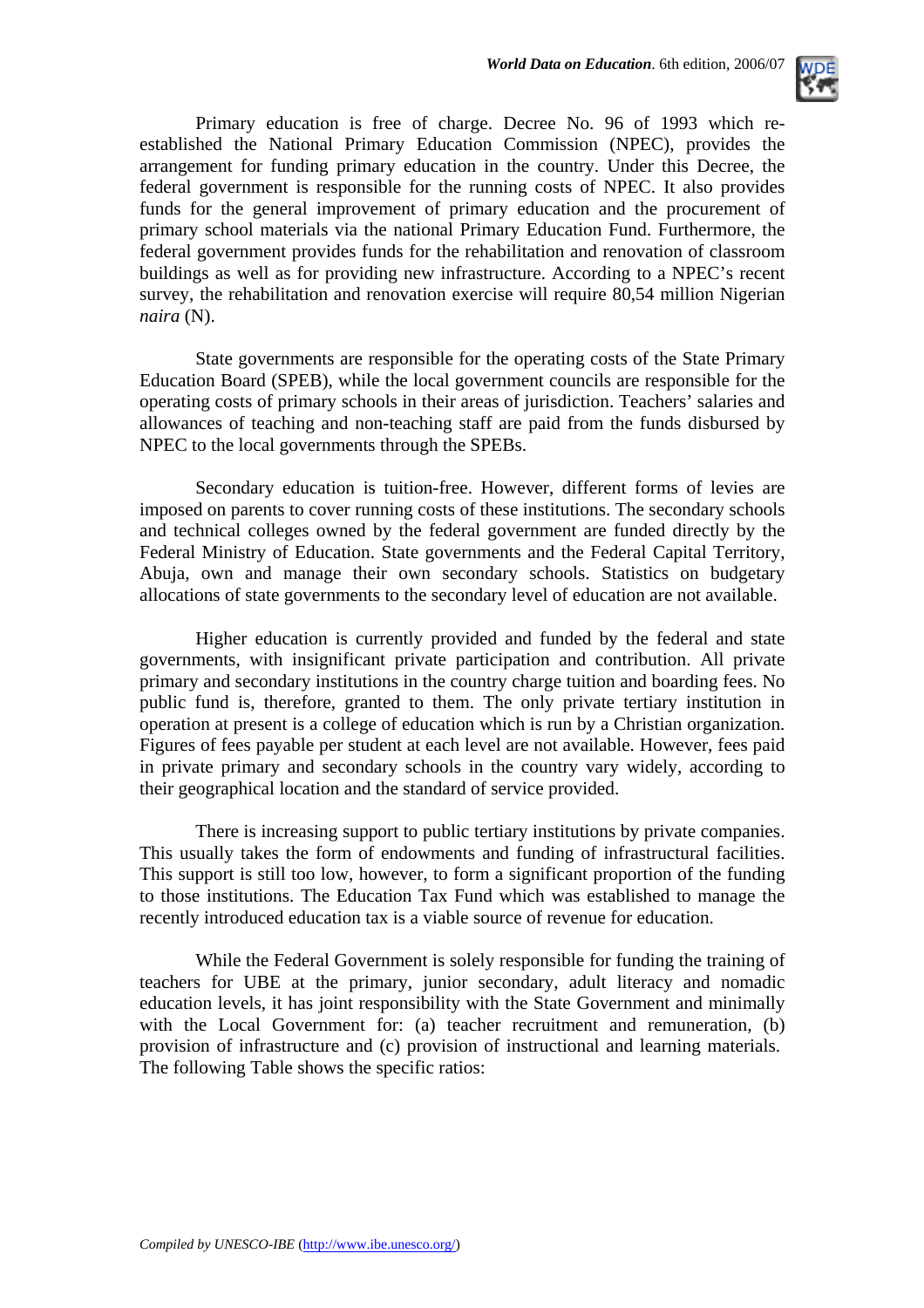

Primary education is free of charge. Decree No. 96 of 1993 which reestablished the National Primary Education Commission (NPEC), provides the arrangement for funding primary education in the country. Under this Decree, the federal government is responsible for the running costs of NPEC. It also provides funds for the general improvement of primary education and the procurement of primary school materials via the national Primary Education Fund. Furthermore, the federal government provides funds for the rehabilitation and renovation of classroom buildings as well as for providing new infrastructure. According to a NPEC's recent survey, the rehabilitation and renovation exercise will require 80,54 million Nigerian *naira* (N).

State governments are responsible for the operating costs of the State Primary Education Board (SPEB), while the local government councils are responsible for the operating costs of primary schools in their areas of jurisdiction. Teachers' salaries and allowances of teaching and non-teaching staff are paid from the funds disbursed by NPEC to the local governments through the SPEBs.

Secondary education is tuition-free. However, different forms of levies are imposed on parents to cover running costs of these institutions. The secondary schools and technical colleges owned by the federal government are funded directly by the Federal Ministry of Education. State governments and the Federal Capital Territory, Abuja, own and manage their own secondary schools. Statistics on budgetary allocations of state governments to the secondary level of education are not available.

Higher education is currently provided and funded by the federal and state governments, with insignificant private participation and contribution. All private primary and secondary institutions in the country charge tuition and boarding fees. No public fund is, therefore, granted to them. The only private tertiary institution in operation at present is a college of education which is run by a Christian organization. Figures of fees payable per student at each level are not available. However, fees paid in private primary and secondary schools in the country vary widely, according to their geographical location and the standard of service provided.

There is increasing support to public tertiary institutions by private companies. This usually takes the form of endowments and funding of infrastructural facilities. This support is still too low, however, to form a significant proportion of the funding to those institutions. The Education Tax Fund which was established to manage the recently introduced education tax is a viable source of revenue for education.

While the Federal Government is solely responsible for funding the training of teachers for UBE at the primary, junior secondary, adult literacy and nomadic education levels, it has joint responsibility with the State Government and minimally with the Local Government for: (a) teacher recruitment and remuneration, (b) provision of infrastructure and (c) provision of instructional and learning materials. The following Table shows the specific ratios: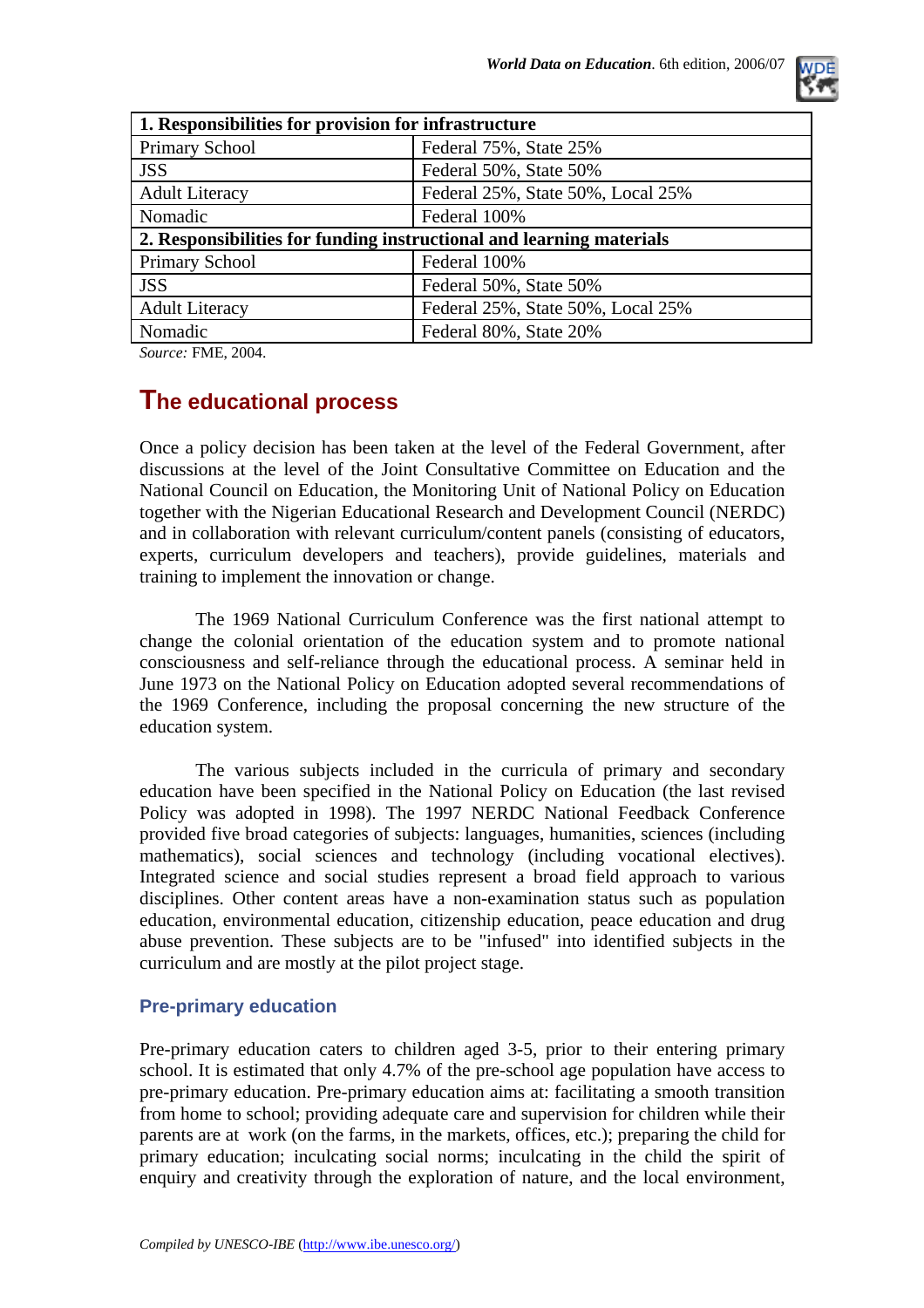

| 1. Responsibilities for provision for infrastructure                 |                                   |  |  |  |  |
|----------------------------------------------------------------------|-----------------------------------|--|--|--|--|
| Primary School                                                       | Federal 75%, State 25%            |  |  |  |  |
| <b>JSS</b>                                                           | Federal 50%, State 50%            |  |  |  |  |
| <b>Adult Literacy</b>                                                | Federal 25%, State 50%, Local 25% |  |  |  |  |
| Nomadic                                                              | Federal 100%                      |  |  |  |  |
| 2. Responsibilities for funding instructional and learning materials |                                   |  |  |  |  |
| <b>Primary School</b>                                                | Federal 100%                      |  |  |  |  |
| <b>JSS</b>                                                           | Federal 50%, State 50%            |  |  |  |  |
| <b>Adult Literacy</b>                                                | Federal 25%, State 50%, Local 25% |  |  |  |  |
| Nomadic                                                              | Federal 80%, State 20%            |  |  |  |  |

*Source:* FME, 2004.

### **The educational process**

Once a policy decision has been taken at the level of the Federal Government, after discussions at the level of the Joint Consultative Committee on Education and the National Council on Education, the Monitoring Unit of National Policy on Education together with the Nigerian Educational Research and Development Council (NERDC) and in collaboration with relevant curriculum/content panels (consisting of educators, experts, curriculum developers and teachers), provide guidelines, materials and training to implement the innovation or change.

The 1969 National Curriculum Conference was the first national attempt to change the colonial orientation of the education system and to promote national consciousness and self-reliance through the educational process. A seminar held in June 1973 on the National Policy on Education adopted several recommendations of the 1969 Conference, including the proposal concerning the new structure of the education system.

The various subjects included in the curricula of primary and secondary education have been specified in the National Policy on Education (the last revised Policy was adopted in 1998). The 1997 NERDC National Feedback Conference provided five broad categories of subjects: languages, humanities, sciences (including mathematics), social sciences and technology (including vocational electives). Integrated science and social studies represent a broad field approach to various disciplines. Other content areas have a non-examination status such as population education, environmental education, citizenship education, peace education and drug abuse prevention. These subjects are to be "infused" into identified subjects in the curriculum and are mostly at the pilot project stage.

### **Pre-primary education**

Pre-primary education caters to children aged 3-5, prior to their entering primary school. It is estimated that only 4.7% of the pre-school age population have access to pre-primary education. Pre-primary education aims at: facilitating a smooth transition from home to school; providing adequate care and supervision for children while their parents are at work (on the farms, in the markets, offices, etc.); preparing the child for primary education; inculcating social norms; inculcating in the child the spirit of enquiry and creativity through the exploration of nature, and the local environment,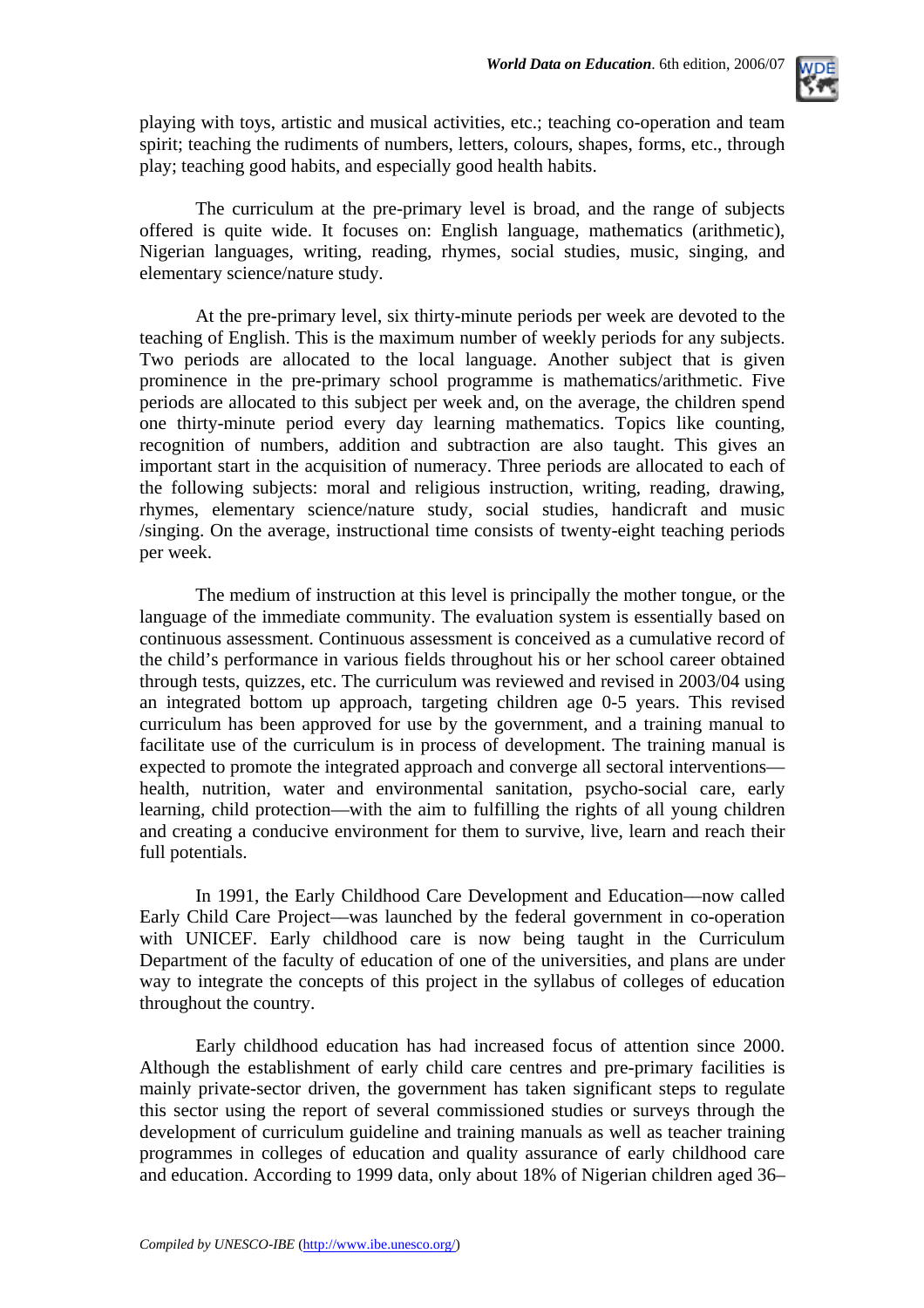

playing with toys, artistic and musical activities, etc.; teaching co-operation and team spirit; teaching the rudiments of numbers, letters, colours, shapes, forms, etc., through play; teaching good habits, and especially good health habits.

The curriculum at the pre-primary level is broad, and the range of subjects offered is quite wide. It focuses on: English language, mathematics (arithmetic), Nigerian languages, writing, reading, rhymes, social studies, music, singing, and elementary science/nature study.

At the pre-primary level, six thirty-minute periods per week are devoted to the teaching of English. This is the maximum number of weekly periods for any subjects. Two periods are allocated to the local language. Another subject that is given prominence in the pre-primary school programme is mathematics/arithmetic. Five periods are allocated to this subject per week and, on the average, the children spend one thirty-minute period every day learning mathematics. Topics like counting, recognition of numbers, addition and subtraction are also taught. This gives an important start in the acquisition of numeracy. Three periods are allocated to each of the following subjects: moral and religious instruction, writing, reading, drawing, rhymes, elementary science/nature study, social studies, handicraft and music /singing. On the average, instructional time consists of twenty-eight teaching periods per week.

The medium of instruction at this level is principally the mother tongue, or the language of the immediate community. The evaluation system is essentially based on continuous assessment. Continuous assessment is conceived as a cumulative record of the child's performance in various fields throughout his or her school career obtained through tests, quizzes, etc. The curriculum was reviewed and revised in 2003/04 using an integrated bottom up approach, targeting children age 0-5 years. This revised curriculum has been approved for use by the government, and a training manual to facilitate use of the curriculum is in process of development. The training manual is expected to promote the integrated approach and converge all sectoral interventions health, nutrition, water and environmental sanitation, psycho-social care, early learning, child protection—with the aim to fulfilling the rights of all young children and creating a conducive environment for them to survive, live, learn and reach their full potentials.

In 1991, the Early Childhood Care Development and Education––now called Early Child Care Project––was launched by the federal government in co-operation with UNICEF. Early childhood care is now being taught in the Curriculum Department of the faculty of education of one of the universities, and plans are under way to integrate the concepts of this project in the syllabus of colleges of education throughout the country.

Early childhood education has had increased focus of attention since 2000. Although the establishment of early child care centres and pre-primary facilities is mainly private-sector driven, the government has taken significant steps to regulate this sector using the report of several commissioned studies or surveys through the development of curriculum guideline and training manuals as well as teacher training programmes in colleges of education and quality assurance of early childhood care and education. According to 1999 data, only about 18% of Nigerian children aged 36–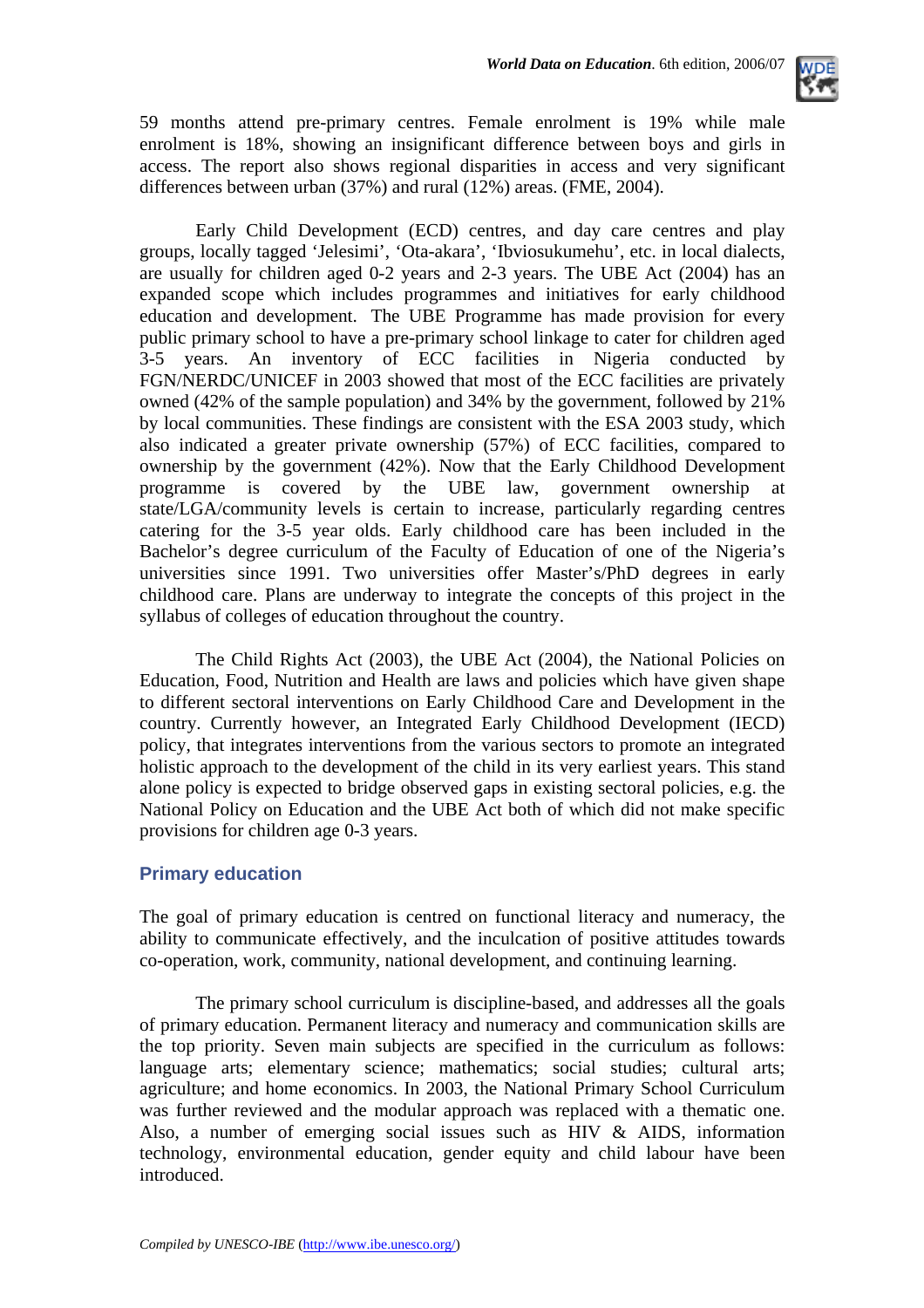

59 months attend pre-primary centres. Female enrolment is 19% while male enrolment is 18%, showing an insignificant difference between boys and girls in access. The report also shows regional disparities in access and very significant differences between urban (37%) and rural (12%) areas. (FME, 2004).

Early Child Development (ECD) centres, and day care centres and play groups, locally tagged 'Jelesimi', 'Ota-akara', 'Ibviosukumehu', etc. in local dialects, are usually for children aged 0-2 years and 2-3 years. The UBE Act (2004) has an expanded scope which includes programmes and initiatives for early childhood education and development. The UBE Programme has made provision for every public primary school to have a pre-primary school linkage to cater for children aged 3-5 years. An inventory of ECC facilities in Nigeria conducted by FGN/NERDC/UNICEF in 2003 showed that most of the ECC facilities are privately owned (42% of the sample population) and 34% by the government, followed by 21% by local communities. These findings are consistent with the ESA 2003 study, which also indicated a greater private ownership (57%) of ECC facilities, compared to ownership by the government (42%). Now that the Early Childhood Development programme is covered by the UBE law, government ownership at state/LGA/community levels is certain to increase, particularly regarding centres catering for the 3-5 year olds. Early childhood care has been included in the Bachelor's degree curriculum of the Faculty of Education of one of the Nigeria's universities since 1991. Two universities offer Master's/PhD degrees in early childhood care. Plans are underway to integrate the concepts of this project in the syllabus of colleges of education throughout the country.

The Child Rights Act (2003), the UBE Act (2004), the National Policies on Education, Food, Nutrition and Health are laws and policies which have given shape to different sectoral interventions on Early Childhood Care and Development in the country. Currently however, an Integrated Early Childhood Development (IECD) policy, that integrates interventions from the various sectors to promote an integrated holistic approach to the development of the child in its very earliest years. This stand alone policy is expected to bridge observed gaps in existing sectoral policies, e.g. the National Policy on Education and the UBE Act both of which did not make specific provisions for children age 0-3 years.

### **Primary education**

The goal of primary education is centred on functional literacy and numeracy, the ability to communicate effectively, and the inculcation of positive attitudes towards co-operation, work, community, national development, and continuing learning.

The primary school curriculum is discipline-based, and addresses all the goals of primary education. Permanent literacy and numeracy and communication skills are the top priority. Seven main subjects are specified in the curriculum as follows: language arts; elementary science; mathematics; social studies; cultural arts; agriculture; and home economics. In 2003, the National Primary School Curriculum was further reviewed and the modular approach was replaced with a thematic one. Also, a number of emerging social issues such as HIV & AIDS, information technology, environmental education, gender equity and child labour have been introduced.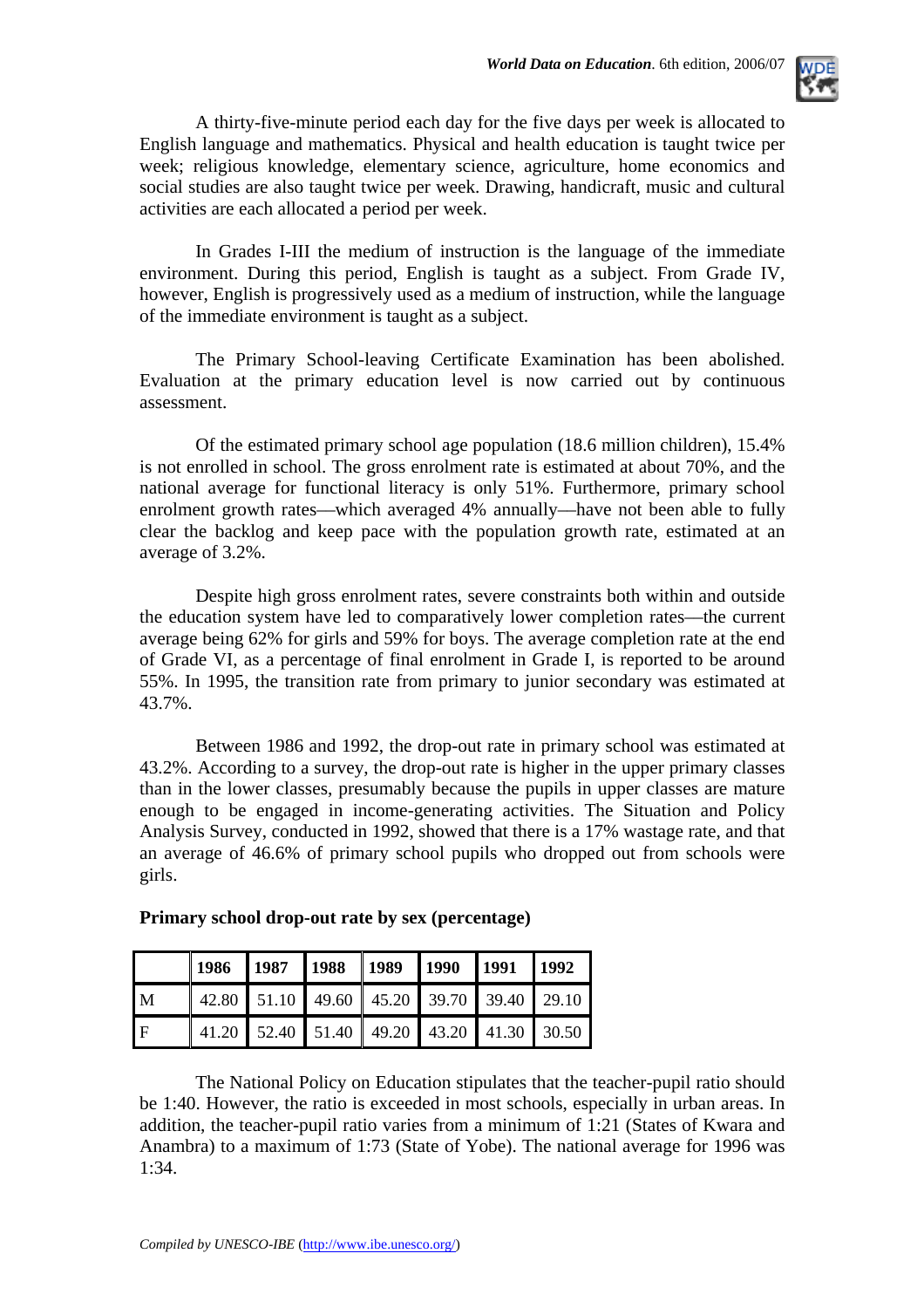

A thirty-five-minute period each day for the five days per week is allocated to English language and mathematics. Physical and health education is taught twice per week; religious knowledge, elementary science, agriculture, home economics and social studies are also taught twice per week. Drawing, handicraft, music and cultural activities are each allocated a period per week.

In Grades I-III the medium of instruction is the language of the immediate environment. During this period, English is taught as a subject. From Grade IV, however, English is progressively used as a medium of instruction, while the language of the immediate environment is taught as a subject.

The Primary School-leaving Certificate Examination has been abolished. Evaluation at the primary education level is now carried out by continuous assessment.

Of the estimated primary school age population (18.6 million children), 15.4% is not enrolled in school. The gross enrolment rate is estimated at about 70%, and the national average for functional literacy is only 51%. Furthermore, primary school enrolment growth rates––which averaged 4% annually––have not been able to fully clear the backlog and keep pace with the population growth rate, estimated at an average of 3.2%.

Despite high gross enrolment rates, severe constraints both within and outside the education system have led to comparatively lower completion rates––the current average being 62% for girls and 59% for boys. The average completion rate at the end of Grade VI, as a percentage of final enrolment in Grade I, is reported to be around 55%. In 1995, the transition rate from primary to junior secondary was estimated at 43.7%.

Between 1986 and 1992, the drop-out rate in primary school was estimated at 43.2%. According to a survey, the drop-out rate is higher in the upper primary classes than in the lower classes, presumably because the pupils in upper classes are mature enough to be engaged in income-generating activities. The Situation and Policy Analysis Survey, conducted in 1992, showed that there is a 17% wastage rate, and that an average of 46.6% of primary school pupils who dropped out from schools were girls.

|              | 1986   1987   1988   1989   1990   1991   1992 |                                                       |  |  |  |
|--------------|------------------------------------------------|-------------------------------------------------------|--|--|--|
| $\mathbf{M}$ |                                                | 42.80 51.10 49.60 45.20 39.70 39.40 29.10             |  |  |  |
| l F          |                                                | 41.20   52.40   51.40   49.20   43.20   41.30   30.50 |  |  |  |

### **Primary school drop-out rate by sex (percentage)**

The National Policy on Education stipulates that the teacher-pupil ratio should be 1:40. However, the ratio is exceeded in most schools, especially in urban areas. In addition, the teacher-pupil ratio varies from a minimum of 1:21 (States of Kwara and Anambra) to a maximum of 1:73 (State of Yobe). The national average for 1996 was  $1:34.$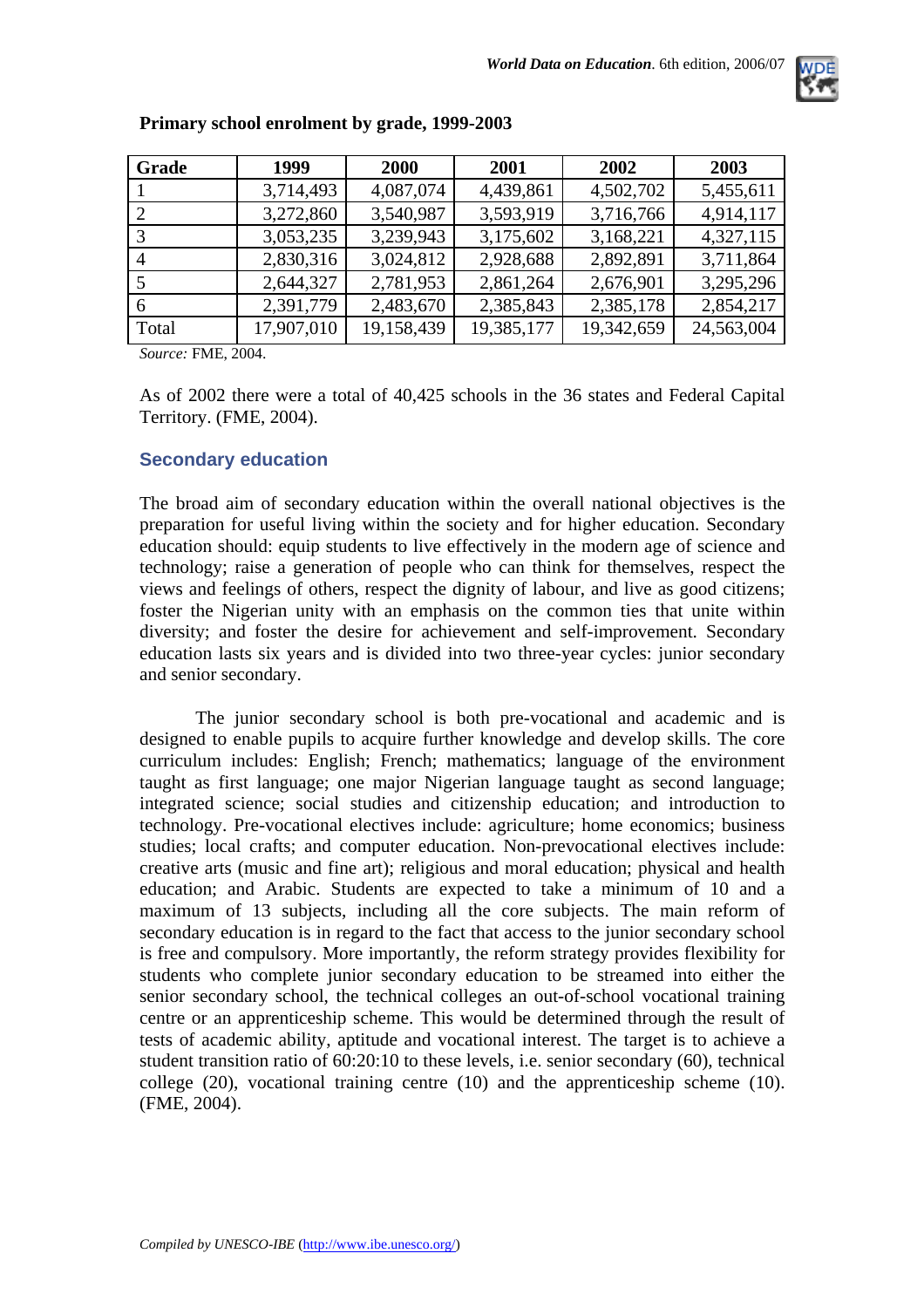

| Grade | 1999       | 2000       | 2001       | 2002       | 2003       |
|-------|------------|------------|------------|------------|------------|
|       | 3,714,493  | 4,087,074  | 4,439,861  | 4,502,702  | 5,455,611  |
|       | 3,272,860  | 3,540,987  | 3,593,919  | 3,716,766  | 4,914,117  |
|       | 3,053,235  | 3,239,943  | 3,175,602  | 3,168,221  | 4,327,115  |
|       | 2,830,316  | 3,024,812  | 2,928,688  | 2,892,891  | 3,711,864  |
|       | 2,644,327  | 2,781,953  | 2,861,264  | 2,676,901  | 3,295,296  |
|       | 2,391,779  | 2,483,670  | 2,385,843  | 2,385,178  | 2,854,217  |
| Total | 17,907,010 | 19,158,439 | 19,385,177 | 19,342,659 | 24,563,004 |

### **Primary school enrolment by grade, 1999-2003**

*Source:* FME, 2004.

As of 2002 there were a total of 40,425 schools in the 36 states and Federal Capital Territory. (FME, 2004).

#### **Secondary education**

The broad aim of secondary education within the overall national objectives is the preparation for useful living within the society and for higher education. Secondary education should: equip students to live effectively in the modern age of science and technology; raise a generation of people who can think for themselves, respect the views and feelings of others, respect the dignity of labour, and live as good citizens; foster the Nigerian unity with an emphasis on the common ties that unite within diversity; and foster the desire for achievement and self-improvement. Secondary education lasts six years and is divided into two three-year cycles: junior secondary and senior secondary.

The junior secondary school is both pre-vocational and academic and is designed to enable pupils to acquire further knowledge and develop skills. The core curriculum includes: English; French; mathematics; language of the environment taught as first language; one major Nigerian language taught as second language; integrated science; social studies and citizenship education; and introduction to technology. Pre-vocational electives include: agriculture; home economics; business studies; local crafts; and computer education. Non-prevocational electives include: creative arts (music and fine art); religious and moral education; physical and health education; and Arabic. Students are expected to take a minimum of 10 and a maximum of 13 subjects, including all the core subjects. The main reform of secondary education is in regard to the fact that access to the junior secondary school is free and compulsory. More importantly, the reform strategy provides flexibility for students who complete junior secondary education to be streamed into either the senior secondary school, the technical colleges an out-of-school vocational training centre or an apprenticeship scheme. This would be determined through the result of tests of academic ability, aptitude and vocational interest. The target is to achieve a student transition ratio of 60:20:10 to these levels, i.e. senior secondary (60), technical college (20), vocational training centre (10) and the apprenticeship scheme (10). (FME, 2004).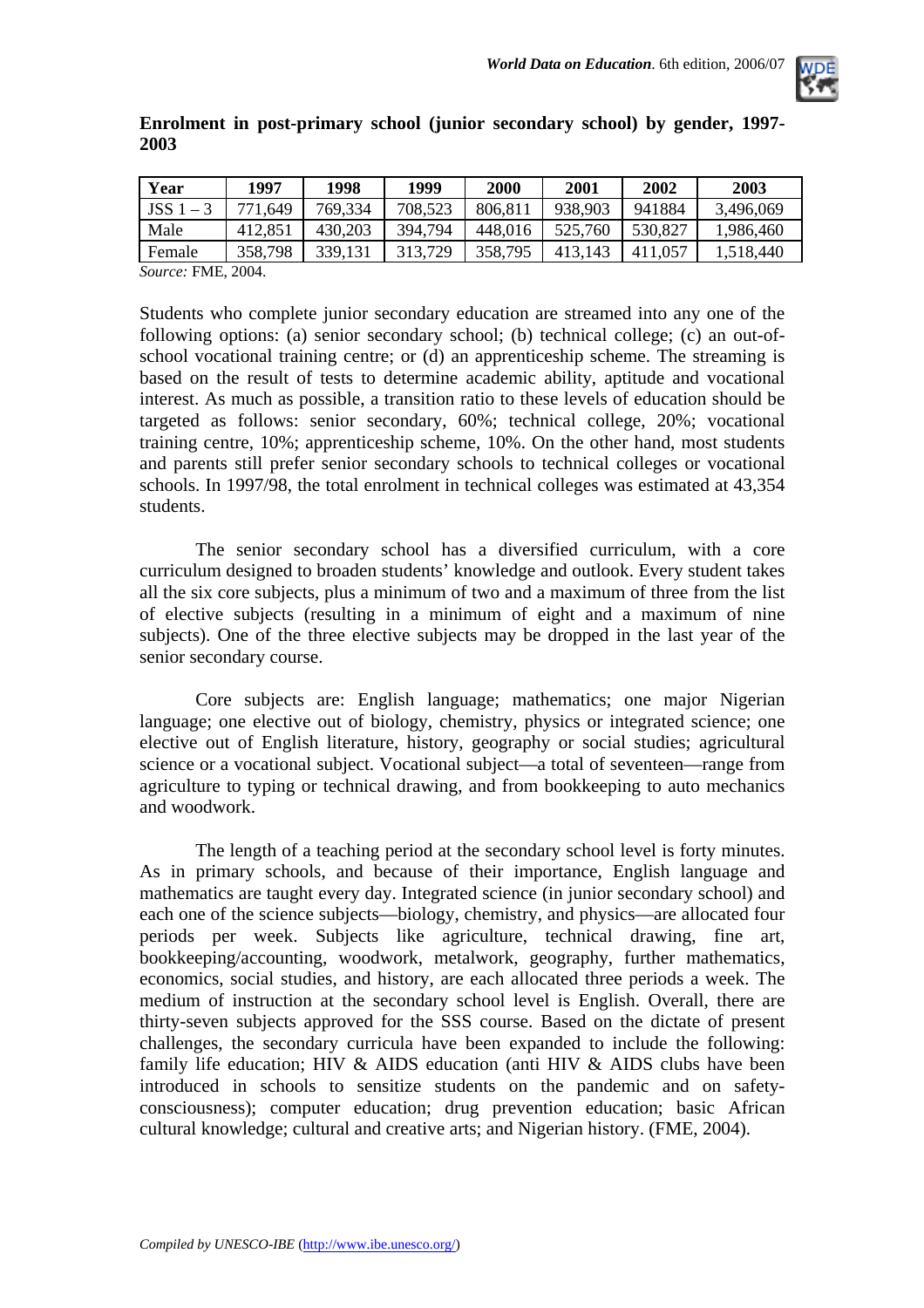

|      | Enrolment in post-primary school (junior secondary school) by gender, 1997- |  |  |  |  |
|------|-----------------------------------------------------------------------------|--|--|--|--|
| 2003 |                                                                             |  |  |  |  |

| Year          | 1997                                                | 1998    | 1999    | <b>2000</b> | 2001    | 2002        | 2003      |
|---------------|-----------------------------------------------------|---------|---------|-------------|---------|-------------|-----------|
| JSS 1<br>$-3$ | 771,649                                             | 769,334 | 708,523 | 806,811     | 938,903 | 941884      | 3,496,069 |
| Male          | 412,851                                             | 430,203 | 394.794 | 448,016     | 525,760 | 530,827     | 1,986,460 |
| Female        | 358,798                                             | 339,131 | 313,729 | 358,795     | 413,143 | 0.057<br>41 | 1,518,440 |
| $\sim$        | $\mathbf{m}$ $\mathbf{m}$ $\mathbf{a}$ $\mathbf{a}$ |         |         |             |         |             |           |

*Source:* FME, 2004.

Students who complete junior secondary education are streamed into any one of the following options: (a) senior secondary school; (b) technical college; (c) an out-ofschool vocational training centre; or (d) an apprenticeship scheme. The streaming is based on the result of tests to determine academic ability, aptitude and vocational interest. As much as possible, a transition ratio to these levels of education should be targeted as follows: senior secondary, 60%; technical college, 20%; vocational training centre, 10%; apprenticeship scheme, 10%. On the other hand, most students and parents still prefer senior secondary schools to technical colleges or vocational schools. In 1997/98, the total enrolment in technical colleges was estimated at 43,354 students.

The senior secondary school has a diversified curriculum, with a core curriculum designed to broaden students' knowledge and outlook. Every student takes all the six core subjects, plus a minimum of two and a maximum of three from the list of elective subjects (resulting in a minimum of eight and a maximum of nine subjects). One of the three elective subjects may be dropped in the last year of the senior secondary course.

Core subjects are: English language; mathematics; one major Nigerian language; one elective out of biology, chemistry, physics or integrated science; one elective out of English literature, history, geography or social studies; agricultural science or a vocational subject. Vocational subject––a total of seventeen––range from agriculture to typing or technical drawing, and from bookkeeping to auto mechanics and woodwork.

The length of a teaching period at the secondary school level is forty minutes. As in primary schools, and because of their importance, English language and mathematics are taught every day. Integrated science (in junior secondary school) and each one of the science subjects––biology, chemistry, and physics––are allocated four periods per week. Subjects like agriculture, technical drawing, fine art, bookkeeping/accounting, woodwork, metalwork, geography, further mathematics, economics, social studies, and history, are each allocated three periods a week. The medium of instruction at the secondary school level is English. Overall, there are thirty-seven subjects approved for the SSS course. Based on the dictate of present challenges, the secondary curricula have been expanded to include the following: family life education; HIV & AIDS education (anti HIV & AIDS clubs have been introduced in schools to sensitize students on the pandemic and on safetyconsciousness); computer education; drug prevention education; basic African cultural knowledge; cultural and creative arts; and Nigerian history. (FME, 2004).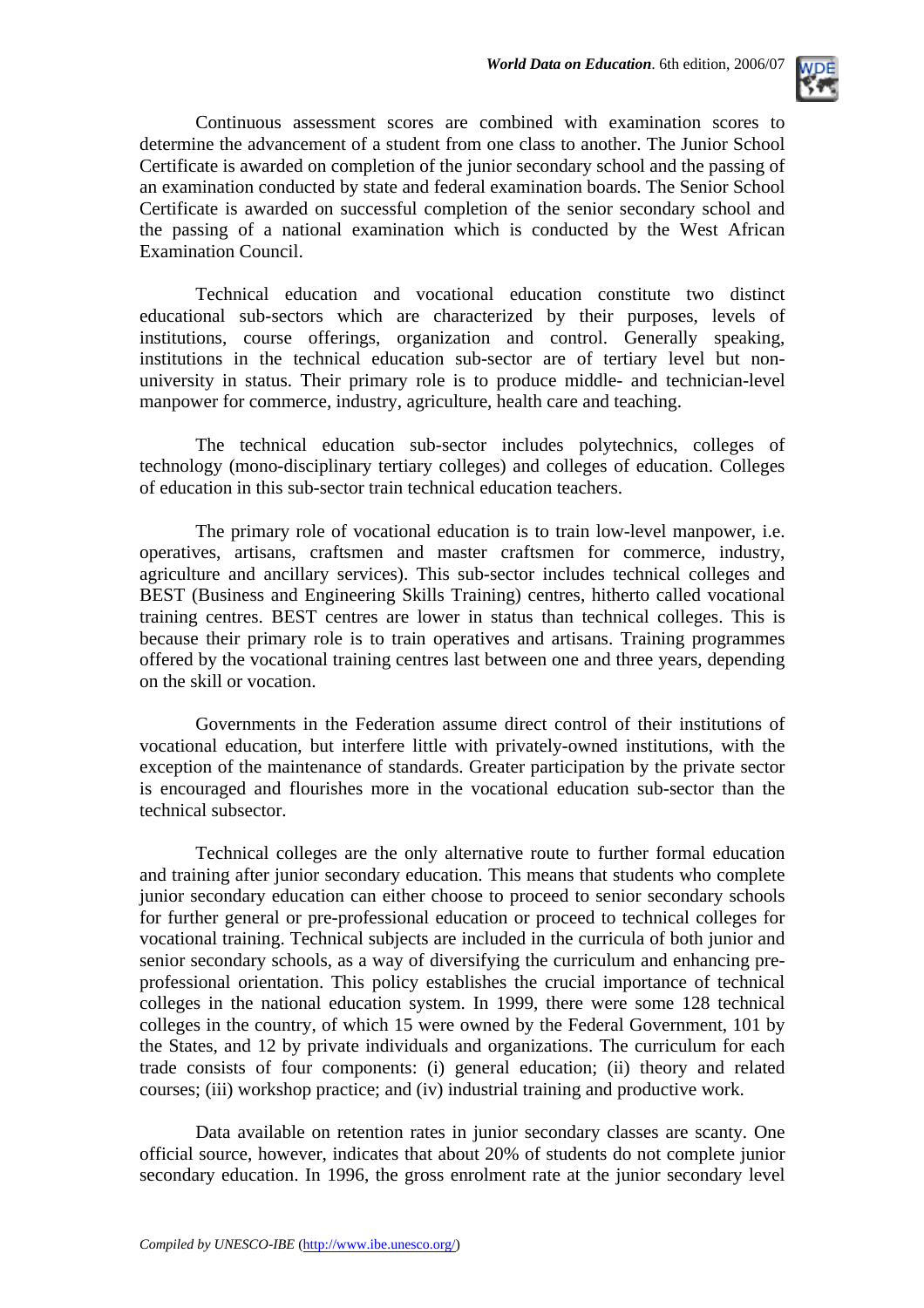

Continuous assessment scores are combined with examination scores to determine the advancement of a student from one class to another. The Junior School Certificate is awarded on completion of the junior secondary school and the passing of an examination conducted by state and federal examination boards. The Senior School Certificate is awarded on successful completion of the senior secondary school and the passing of a national examination which is conducted by the West African Examination Council.

Technical education and vocational education constitute two distinct educational sub-sectors which are characterized by their purposes, levels of institutions, course offerings, organization and control. Generally speaking, institutions in the technical education sub-sector are of tertiary level but nonuniversity in status. Their primary role is to produce middle- and technician-level manpower for commerce, industry, agriculture, health care and teaching.

The technical education sub-sector includes polytechnics, colleges of technology (mono-disciplinary tertiary colleges) and colleges of education. Colleges of education in this sub-sector train technical education teachers.

The primary role of vocational education is to train low-level manpower, i.e. operatives, artisans, craftsmen and master craftsmen for commerce, industry, agriculture and ancillary services). This sub-sector includes technical colleges and BEST (Business and Engineering Skills Training) centres, hitherto called vocational training centres. BEST centres are lower in status than technical colleges. This is because their primary role is to train operatives and artisans. Training programmes offered by the vocational training centres last between one and three years, depending on the skill or vocation.

Governments in the Federation assume direct control of their institutions of vocational education, but interfere little with privately-owned institutions, with the exception of the maintenance of standards. Greater participation by the private sector is encouraged and flourishes more in the vocational education sub-sector than the technical subsector.

Technical colleges are the only alternative route to further formal education and training after junior secondary education. This means that students who complete junior secondary education can either choose to proceed to senior secondary schools for further general or pre-professional education or proceed to technical colleges for vocational training. Technical subjects are included in the curricula of both junior and senior secondary schools, as a way of diversifying the curriculum and enhancing preprofessional orientation. This policy establishes the crucial importance of technical colleges in the national education system. In 1999, there were some 128 technical colleges in the country, of which 15 were owned by the Federal Government, 101 by the States, and 12 by private individuals and organizations. The curriculum for each trade consists of four components: (i) general education; (ii) theory and related courses; (iii) workshop practice; and (iv) industrial training and productive work.

Data available on retention rates in junior secondary classes are scanty. One official source, however, indicates that about 20% of students do not complete junior secondary education. In 1996, the gross enrolment rate at the junior secondary level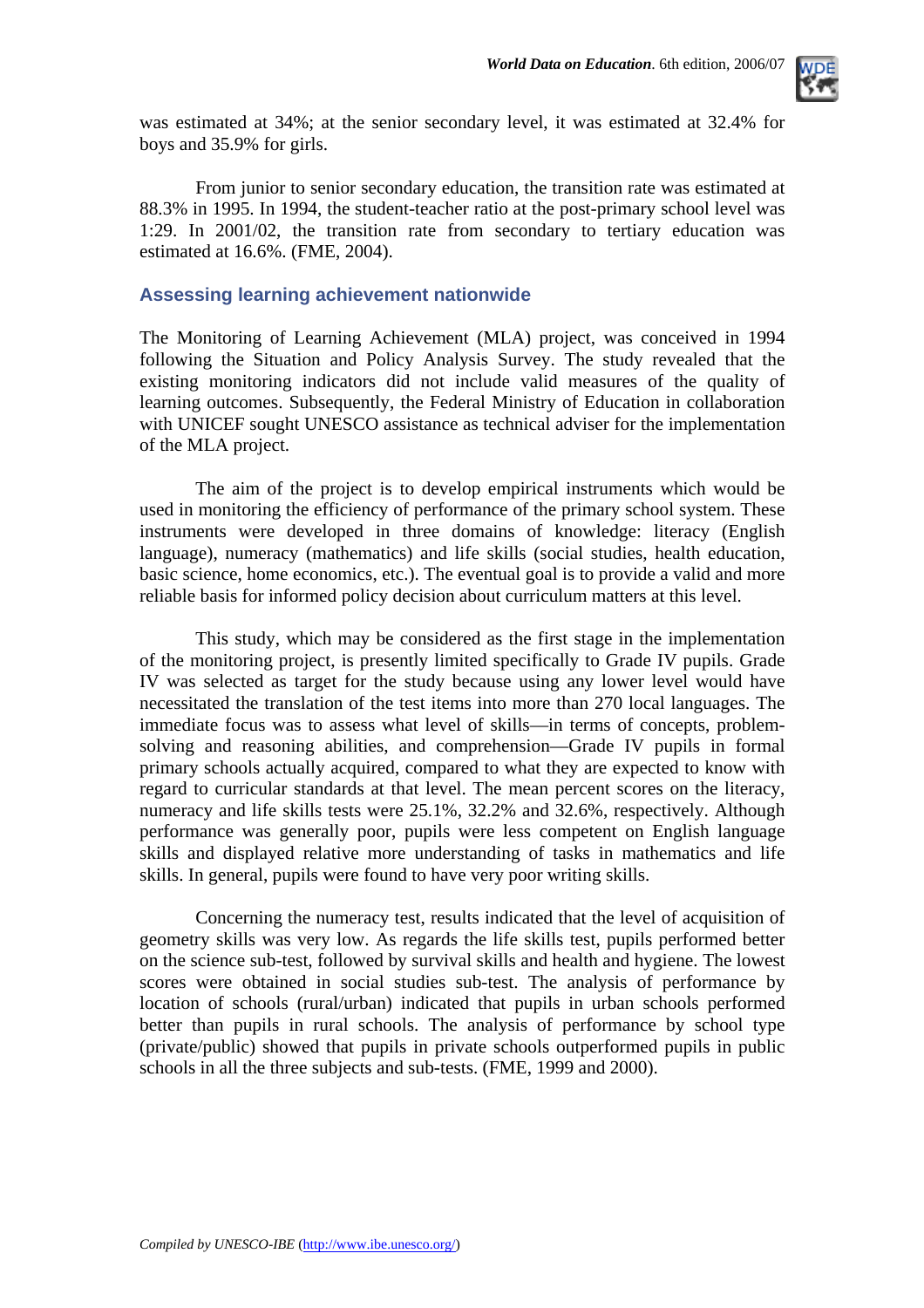

was estimated at 34%; at the senior secondary level, it was estimated at 32.4% for boys and 35.9% for girls.

From junior to senior secondary education, the transition rate was estimated at 88.3% in 1995. In 1994, the student-teacher ratio at the post-primary school level was 1:29. In 2001/02, the transition rate from secondary to tertiary education was estimated at 16.6%. (FME, 2004).

#### **Assessing learning achievement nationwide**

The Monitoring of Learning Achievement (MLA) project, was conceived in 1994 following the Situation and Policy Analysis Survey. The study revealed that the existing monitoring indicators did not include valid measures of the quality of learning outcomes. Subsequently, the Federal Ministry of Education in collaboration with UNICEF sought UNESCO assistance as technical adviser for the implementation of the MLA project.

The aim of the project is to develop empirical instruments which would be used in monitoring the efficiency of performance of the primary school system. These instruments were developed in three domains of knowledge: literacy (English language), numeracy (mathematics) and life skills (social studies, health education, basic science, home economics, etc.). The eventual goal is to provide a valid and more reliable basis for informed policy decision about curriculum matters at this level.

This study, which may be considered as the first stage in the implementation of the monitoring project, is presently limited specifically to Grade IV pupils. Grade IV was selected as target for the study because using any lower level would have necessitated the translation of the test items into more than 270 local languages. The immediate focus was to assess what level of skills––in terms of concepts, problemsolving and reasoning abilities, and comprehension––Grade IV pupils in formal primary schools actually acquired, compared to what they are expected to know with regard to curricular standards at that level. The mean percent scores on the literacy, numeracy and life skills tests were 25.1%, 32.2% and 32.6%, respectively. Although performance was generally poor, pupils were less competent on English language skills and displayed relative more understanding of tasks in mathematics and life skills. In general, pupils were found to have very poor writing skills.

Concerning the numeracy test, results indicated that the level of acquisition of geometry skills was very low. As regards the life skills test, pupils performed better on the science sub-test, followed by survival skills and health and hygiene. The lowest scores were obtained in social studies sub-test. The analysis of performance by location of schools (rural/urban) indicated that pupils in urban schools performed better than pupils in rural schools. The analysis of performance by school type (private/public) showed that pupils in private schools outperformed pupils in public schools in all the three subjects and sub-tests. (FME, 1999 and 2000).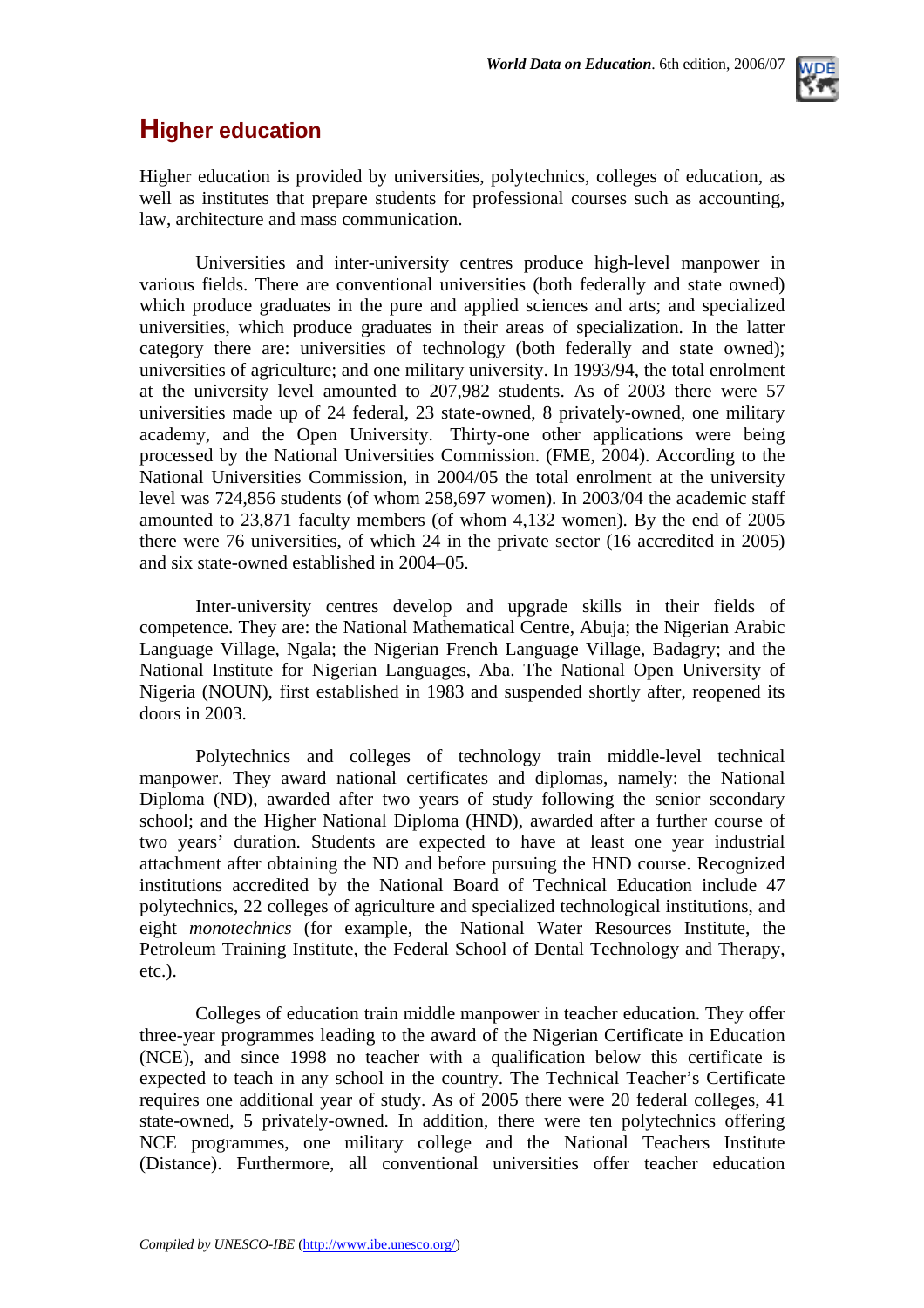### **Higher education**

Higher education is provided by universities, polytechnics, colleges of education, as well as institutes that prepare students for professional courses such as accounting, law, architecture and mass communication.

Universities and inter-university centres produce high-level manpower in various fields. There are conventional universities (both federally and state owned) which produce graduates in the pure and applied sciences and arts; and specialized universities, which produce graduates in their areas of specialization. In the latter category there are: universities of technology (both federally and state owned); universities of agriculture; and one military university. In 1993/94, the total enrolment at the university level amounted to 207,982 students. As of 2003 there were 57 universities made up of 24 federal, 23 state-owned, 8 privately-owned, one military academy, and the Open University. Thirty-one other applications were being processed by the National Universities Commission. (FME, 2004). According to the National Universities Commission, in 2004/05 the total enrolment at the university level was 724,856 students (of whom 258,697 women). In 2003/04 the academic staff amounted to 23,871 faculty members (of whom 4,132 women). By the end of 2005 there were 76 universities, of which 24 in the private sector (16 accredited in 2005) and six state-owned established in 2004–05.

Inter-university centres develop and upgrade skills in their fields of competence. They are: the National Mathematical Centre, Abuja; the Nigerian Arabic Language Village, Ngala; the Nigerian French Language Village, Badagry; and the National Institute for Nigerian Languages, Aba. The National Open University of Nigeria (NOUN), first established in 1983 and suspended shortly after, reopened its doors in 2003.

Polytechnics and colleges of technology train middle-level technical manpower. They award national certificates and diplomas, namely: the National Diploma (ND), awarded after two years of study following the senior secondary school; and the Higher National Diploma (HND), awarded after a further course of two years' duration. Students are expected to have at least one year industrial attachment after obtaining the ND and before pursuing the HND course. Recognized institutions accredited by the National Board of Technical Education include 47 polytechnics, 22 colleges of agriculture and specialized technological institutions, and eight *monotechnics* (for example, the National Water Resources Institute, the Petroleum Training Institute, the Federal School of Dental Technology and Therapy, etc.).

Colleges of education train middle manpower in teacher education. They offer three-year programmes leading to the award of the Nigerian Certificate in Education (NCE), and since 1998 no teacher with a qualification below this certificate is expected to teach in any school in the country. The Technical Teacher's Certificate requires one additional year of study. As of 2005 there were 20 federal colleges, 41 state-owned, 5 privately-owned. In addition, there were ten polytechnics offering NCE programmes, one military college and the National Teachers Institute (Distance). Furthermore, all conventional universities offer teacher education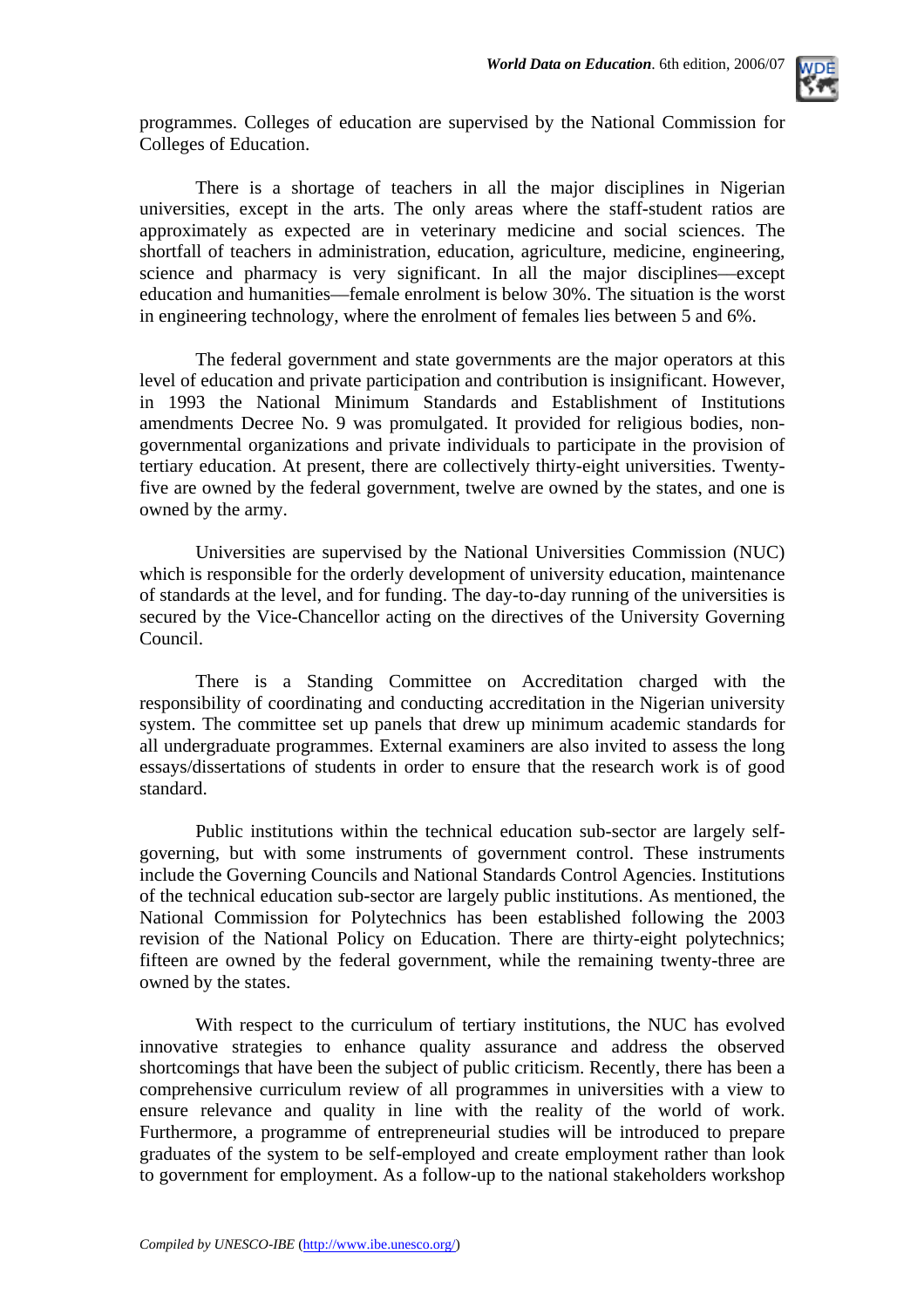

programmes. Colleges of education are supervised by the National Commission for Colleges of Education.

There is a shortage of teachers in all the major disciplines in Nigerian universities, except in the arts. The only areas where the staff-student ratios are approximately as expected are in veterinary medicine and social sciences. The shortfall of teachers in administration, education, agriculture, medicine, engineering, science and pharmacy is very significant. In all the major disciplines––except education and humanities––female enrolment is below 30%. The situation is the worst in engineering technology, where the enrolment of females lies between 5 and 6%.

The federal government and state governments are the major operators at this level of education and private participation and contribution is insignificant. However, in 1993 the National Minimum Standards and Establishment of Institutions amendments Decree No. 9 was promulgated. It provided for religious bodies, nongovernmental organizations and private individuals to participate in the provision of tertiary education. At present, there are collectively thirty-eight universities. Twentyfive are owned by the federal government, twelve are owned by the states, and one is owned by the army.

Universities are supervised by the National Universities Commission (NUC) which is responsible for the orderly development of university education, maintenance of standards at the level, and for funding. The day-to-day running of the universities is secured by the Vice-Chancellor acting on the directives of the University Governing Council.

There is a Standing Committee on Accreditation charged with the responsibility of coordinating and conducting accreditation in the Nigerian university system. The committee set up panels that drew up minimum academic standards for all undergraduate programmes. External examiners are also invited to assess the long essays/dissertations of students in order to ensure that the research work is of good standard.

Public institutions within the technical education sub-sector are largely selfgoverning, but with some instruments of government control. These instruments include the Governing Councils and National Standards Control Agencies. Institutions of the technical education sub-sector are largely public institutions. As mentioned, the National Commission for Polytechnics has been established following the 2003 revision of the National Policy on Education. There are thirty-eight polytechnics; fifteen are owned by the federal government, while the remaining twenty-three are owned by the states.

With respect to the curriculum of tertiary institutions, the NUC has evolved innovative strategies to enhance quality assurance and address the observed shortcomings that have been the subject of public criticism. Recently, there has been a comprehensive curriculum review of all programmes in universities with a view to ensure relevance and quality in line with the reality of the world of work. Furthermore, a programme of entrepreneurial studies will be introduced to prepare graduates of the system to be self-employed and create employment rather than look to government for employment. As a follow-up to the national stakeholders workshop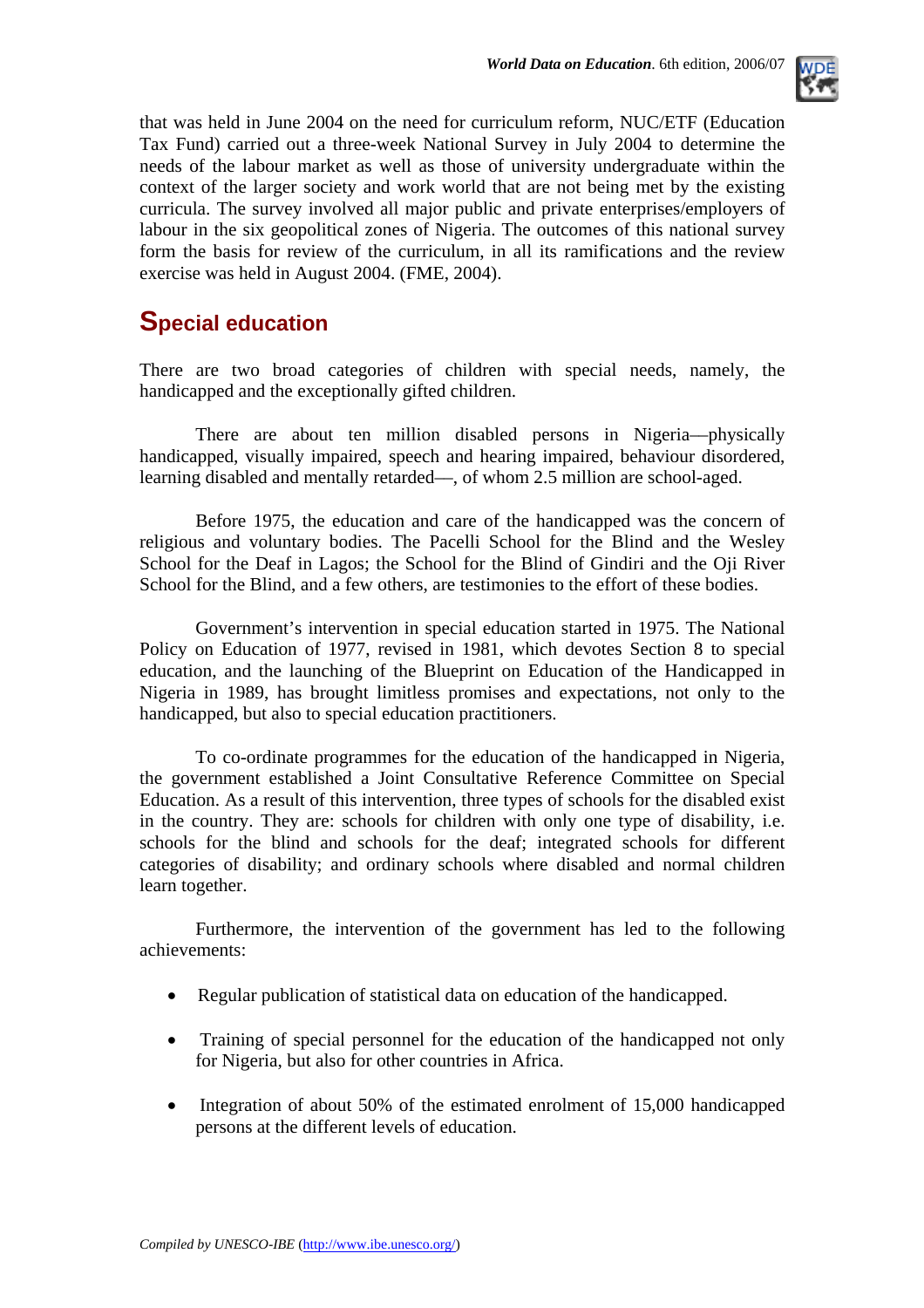

that was held in June 2004 on the need for curriculum reform, NUC/ETF (Education Tax Fund) carried out a three-week National Survey in July 2004 to determine the needs of the labour market as well as those of university undergraduate within the context of the larger society and work world that are not being met by the existing curricula. The survey involved all major public and private enterprises/employers of labour in the six geopolitical zones of Nigeria. The outcomes of this national survey form the basis for review of the curriculum, in all its ramifications and the review exercise was held in August 2004. (FME, 2004).

### **Special education**

There are two broad categories of children with special needs, namely, the handicapped and the exceptionally gifted children.

There are about ten million disabled persons in Nigeria––physically handicapped, visually impaired, speech and hearing impaired, behaviour disordered, learning disabled and mentally retarded––, of whom 2.5 million are school-aged.

Before 1975, the education and care of the handicapped was the concern of religious and voluntary bodies. The Pacelli School for the Blind and the Wesley School for the Deaf in Lagos; the School for the Blind of Gindiri and the Oji River School for the Blind, and a few others, are testimonies to the effort of these bodies.

Government's intervention in special education started in 1975. The National Policy on Education of 1977, revised in 1981, which devotes Section 8 to special education, and the launching of the Blueprint on Education of the Handicapped in Nigeria in 1989, has brought limitless promises and expectations, not only to the handicapped, but also to special education practitioners.

To co-ordinate programmes for the education of the handicapped in Nigeria, the government established a Joint Consultative Reference Committee on Special Education. As a result of this intervention, three types of schools for the disabled exist in the country. They are: schools for children with only one type of disability, i.e. schools for the blind and schools for the deaf; integrated schools for different categories of disability; and ordinary schools where disabled and normal children learn together.

Furthermore, the intervention of the government has led to the following achievements:

- Regular publication of statistical data on education of the handicapped.
- Training of special personnel for the education of the handicapped not only for Nigeria, but also for other countries in Africa.
- Integration of about 50% of the estimated enrolment of 15,000 handicapped persons at the different levels of education.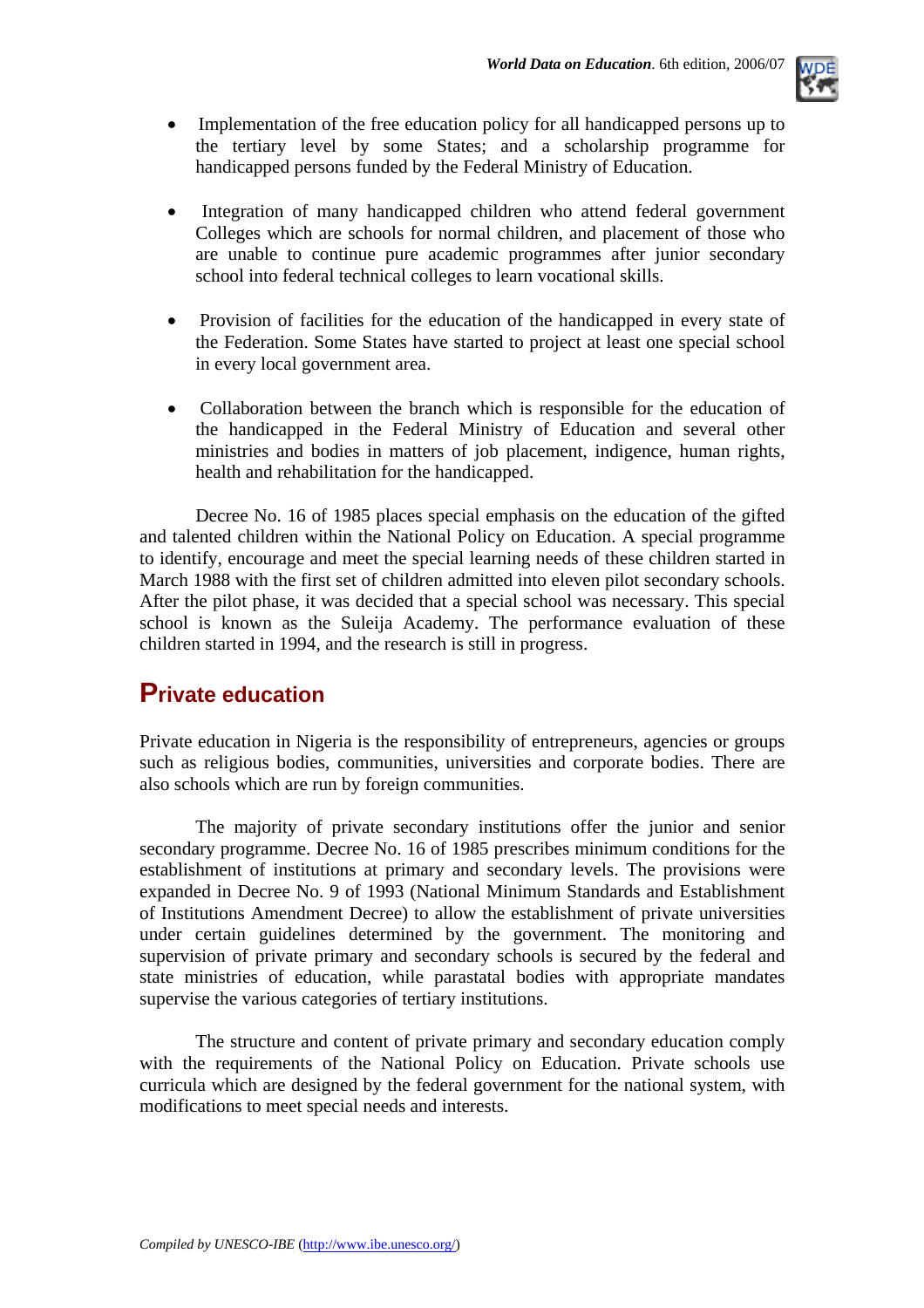

- Implementation of the free education policy for all handicapped persons up to the tertiary level by some States; and a scholarship programme for handicapped persons funded by the Federal Ministry of Education.
- Integration of many handicapped children who attend federal government Colleges which are schools for normal children, and placement of those who are unable to continue pure academic programmes after junior secondary school into federal technical colleges to learn vocational skills.
- Provision of facilities for the education of the handicapped in every state of the Federation. Some States have started to project at least one special school in every local government area.
- Collaboration between the branch which is responsible for the education of the handicapped in the Federal Ministry of Education and several other ministries and bodies in matters of job placement, indigence, human rights, health and rehabilitation for the handicapped.

Decree No. 16 of 1985 places special emphasis on the education of the gifted and talented children within the National Policy on Education. A special programme to identify, encourage and meet the special learning needs of these children started in March 1988 with the first set of children admitted into eleven pilot secondary schools. After the pilot phase, it was decided that a special school was necessary. This special school is known as the Suleija Academy. The performance evaluation of these children started in 1994, and the research is still in progress.

### **Private education**

Private education in Nigeria is the responsibility of entrepreneurs, agencies or groups such as religious bodies, communities, universities and corporate bodies. There are also schools which are run by foreign communities.

The majority of private secondary institutions offer the junior and senior secondary programme. Decree No. 16 of 1985 prescribes minimum conditions for the establishment of institutions at primary and secondary levels. The provisions were expanded in Decree No. 9 of 1993 (National Minimum Standards and Establishment of Institutions Amendment Decree) to allow the establishment of private universities under certain guidelines determined by the government. The monitoring and supervision of private primary and secondary schools is secured by the federal and state ministries of education, while parastatal bodies with appropriate mandates supervise the various categories of tertiary institutions.

The structure and content of private primary and secondary education comply with the requirements of the National Policy on Education. Private schools use curricula which are designed by the federal government for the national system, with modifications to meet special needs and interests.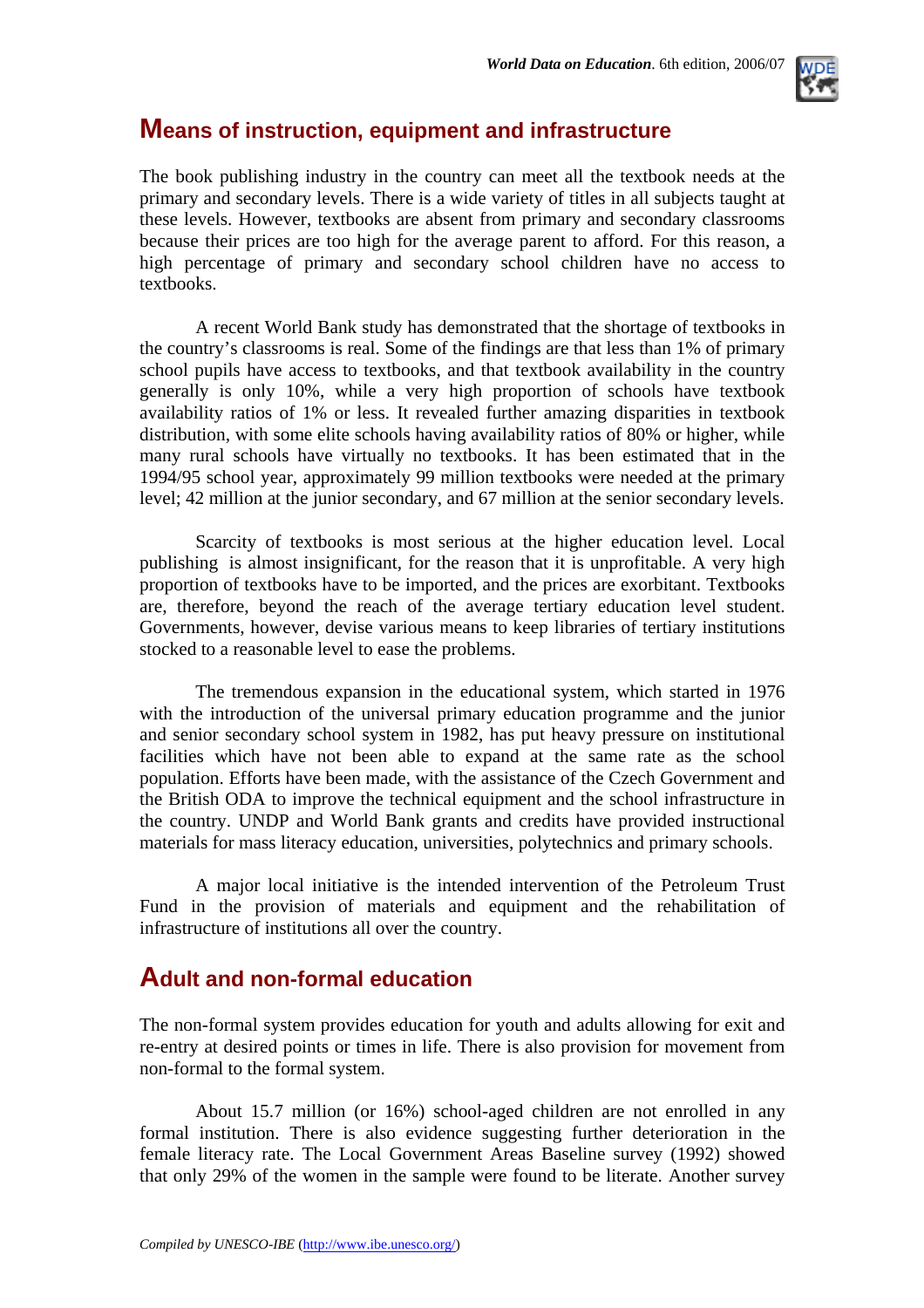

### **Means of instruction, equipment and infrastructure**

The book publishing industry in the country can meet all the textbook needs at the primary and secondary levels. There is a wide variety of titles in all subjects taught at these levels. However, textbooks are absent from primary and secondary classrooms because their prices are too high for the average parent to afford. For this reason, a high percentage of primary and secondary school children have no access to textbooks.

A recent World Bank study has demonstrated that the shortage of textbooks in the country's classrooms is real. Some of the findings are that less than 1% of primary school pupils have access to textbooks, and that textbook availability in the country generally is only 10%, while a very high proportion of schools have textbook availability ratios of 1% or less. It revealed further amazing disparities in textbook distribution, with some elite schools having availability ratios of 80% or higher, while many rural schools have virtually no textbooks. It has been estimated that in the 1994/95 school year, approximately 99 million textbooks were needed at the primary level; 42 million at the junior secondary, and 67 million at the senior secondary levels.

Scarcity of textbooks is most serious at the higher education level. Local publishing is almost insignificant, for the reason that it is unprofitable. A very high proportion of textbooks have to be imported, and the prices are exorbitant. Textbooks are, therefore, beyond the reach of the average tertiary education level student. Governments, however, devise various means to keep libraries of tertiary institutions stocked to a reasonable level to ease the problems.

The tremendous expansion in the educational system, which started in 1976 with the introduction of the universal primary education programme and the junior and senior secondary school system in 1982, has put heavy pressure on institutional facilities which have not been able to expand at the same rate as the school population. Efforts have been made, with the assistance of the Czech Government and the British ODA to improve the technical equipment and the school infrastructure in the country. UNDP and World Bank grants and credits have provided instructional materials for mass literacy education, universities, polytechnics and primary schools.

A major local initiative is the intended intervention of the Petroleum Trust Fund in the provision of materials and equipment and the rehabilitation of infrastructure of institutions all over the country.

### **Adult and non-formal education**

The non-formal system provides education for youth and adults allowing for exit and re-entry at desired points or times in life. There is also provision for movement from non-formal to the formal system.

About 15.7 million (or 16%) school-aged children are not enrolled in any formal institution. There is also evidence suggesting further deterioration in the female literacy rate. The Local Government Areas Baseline survey (1992) showed that only 29% of the women in the sample were found to be literate. Another survey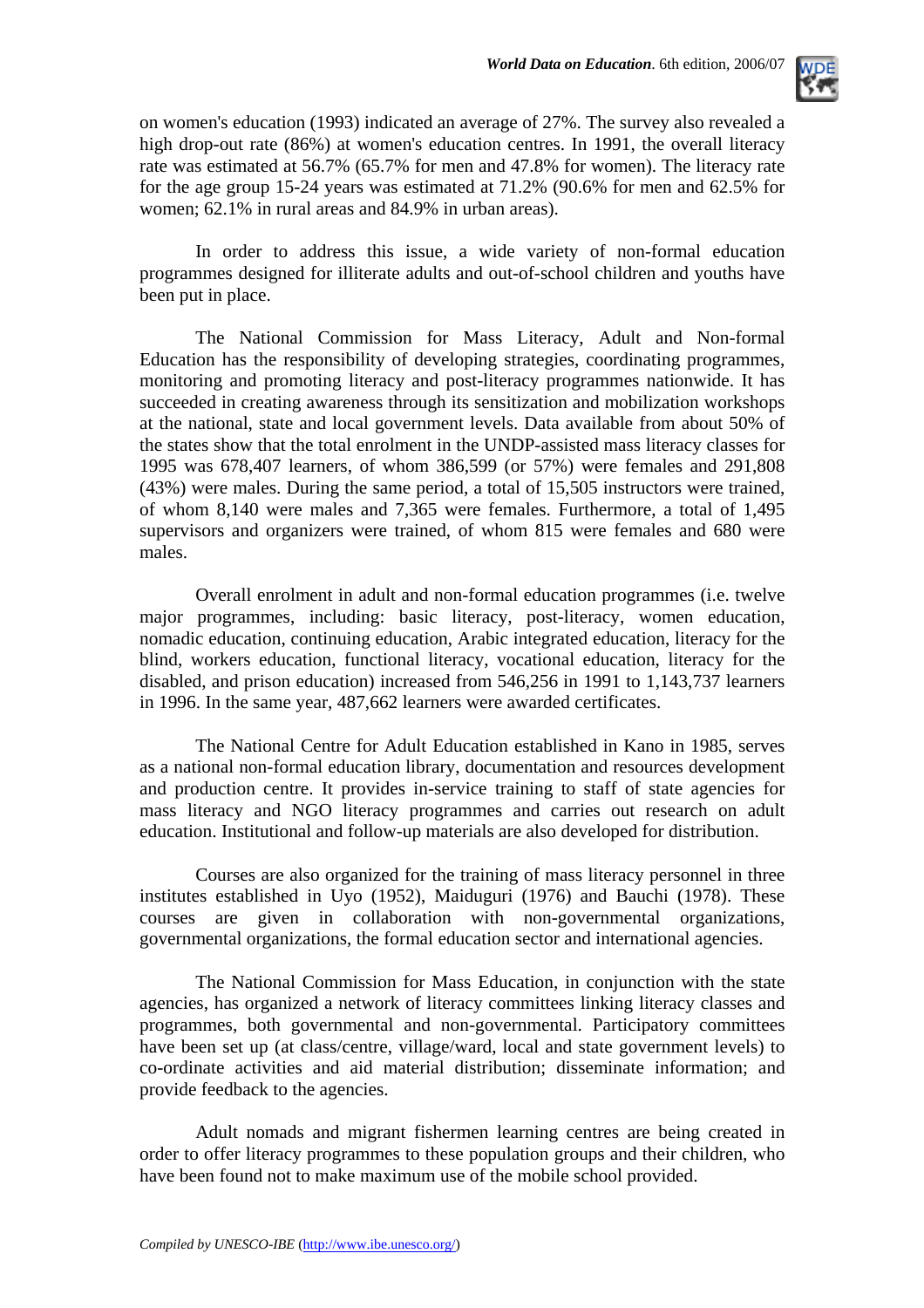

on women's education (1993) indicated an average of 27%. The survey also revealed a high drop-out rate (86%) at women's education centres. In 1991, the overall literacy rate was estimated at 56.7% (65.7% for men and 47.8% for women). The literacy rate for the age group 15-24 years was estimated at 71.2% (90.6% for men and 62.5% for women; 62.1% in rural areas and 84.9% in urban areas).

In order to address this issue, a wide variety of non-formal education programmes designed for illiterate adults and out-of-school children and youths have been put in place.

The National Commission for Mass Literacy, Adult and Non-formal Education has the responsibility of developing strategies, coordinating programmes, monitoring and promoting literacy and post-literacy programmes nationwide. It has succeeded in creating awareness through its sensitization and mobilization workshops at the national, state and local government levels. Data available from about 50% of the states show that the total enrolment in the UNDP-assisted mass literacy classes for 1995 was 678,407 learners, of whom 386,599 (or 57%) were females and 291,808 (43%) were males. During the same period, a total of 15,505 instructors were trained, of whom 8,140 were males and 7,365 were females. Furthermore, a total of 1,495 supervisors and organizers were trained, of whom 815 were females and 680 were males.

Overall enrolment in adult and non-formal education programmes (i.e. twelve major programmes, including: basic literacy, post-literacy, women education, nomadic education, continuing education, Arabic integrated education, literacy for the blind, workers education, functional literacy, vocational education, literacy for the disabled, and prison education) increased from 546,256 in 1991 to 1,143,737 learners in 1996. In the same year, 487,662 learners were awarded certificates.

The National Centre for Adult Education established in Kano in 1985, serves as a national non-formal education library, documentation and resources development and production centre. It provides in-service training to staff of state agencies for mass literacy and NGO literacy programmes and carries out research on adult education. Institutional and follow-up materials are also developed for distribution.

Courses are also organized for the training of mass literacy personnel in three institutes established in Uyo (1952), Maiduguri (1976) and Bauchi (1978). These courses are given in collaboration with non-governmental organizations, governmental organizations, the formal education sector and international agencies.

The National Commission for Mass Education, in conjunction with the state agencies, has organized a network of literacy committees linking literacy classes and programmes, both governmental and non-governmental. Participatory committees have been set up (at class/centre, village/ward, local and state government levels) to co-ordinate activities and aid material distribution; disseminate information; and provide feedback to the agencies.

Adult nomads and migrant fishermen learning centres are being created in order to offer literacy programmes to these population groups and their children, who have been found not to make maximum use of the mobile school provided.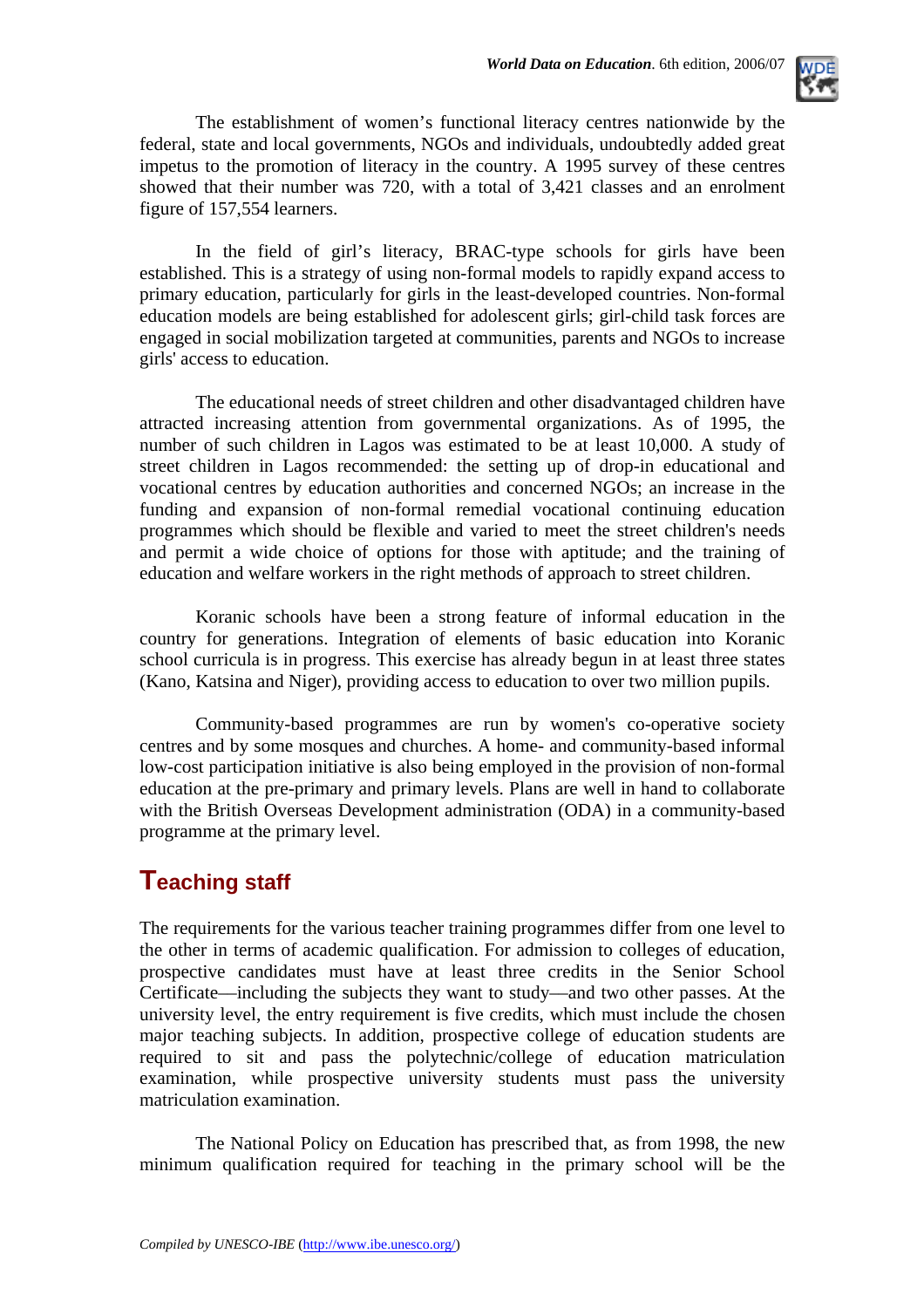

The establishment of women's functional literacy centres nationwide by the federal, state and local governments, NGOs and individuals, undoubtedly added great impetus to the promotion of literacy in the country. A 1995 survey of these centres showed that their number was 720, with a total of 3,421 classes and an enrolment figure of 157,554 learners.

In the field of girl's literacy, BRAC-type schools for girls have been established. This is a strategy of using non-formal models to rapidly expand access to primary education, particularly for girls in the least-developed countries. Non-formal education models are being established for adolescent girls; girl-child task forces are engaged in social mobilization targeted at communities, parents and NGOs to increase girls' access to education.

The educational needs of street children and other disadvantaged children have attracted increasing attention from governmental organizations. As of 1995, the number of such children in Lagos was estimated to be at least 10,000. A study of street children in Lagos recommended: the setting up of drop-in educational and vocational centres by education authorities and concerned NGOs; an increase in the funding and expansion of non-formal remedial vocational continuing education programmes which should be flexible and varied to meet the street children's needs and permit a wide choice of options for those with aptitude; and the training of education and welfare workers in the right methods of approach to street children.

Koranic schools have been a strong feature of informal education in the country for generations. Integration of elements of basic education into Koranic school curricula is in progress. This exercise has already begun in at least three states (Kano, Katsina and Niger), providing access to education to over two million pupils.

Community-based programmes are run by women's co-operative society centres and by some mosques and churches. A home- and community-based informal low-cost participation initiative is also being employed in the provision of non-formal education at the pre-primary and primary levels. Plans are well in hand to collaborate with the British Overseas Development administration (ODA) in a community-based programme at the primary level.

### **Teaching staff**

The requirements for the various teacher training programmes differ from one level to the other in terms of academic qualification. For admission to colleges of education, prospective candidates must have at least three credits in the Senior School Certificate––including the subjects they want to study––and two other passes. At the university level, the entry requirement is five credits, which must include the chosen major teaching subjects. In addition, prospective college of education students are required to sit and pass the polytechnic/college of education matriculation examination, while prospective university students must pass the university matriculation examination.

The National Policy on Education has prescribed that, as from 1998, the new minimum qualification required for teaching in the primary school will be the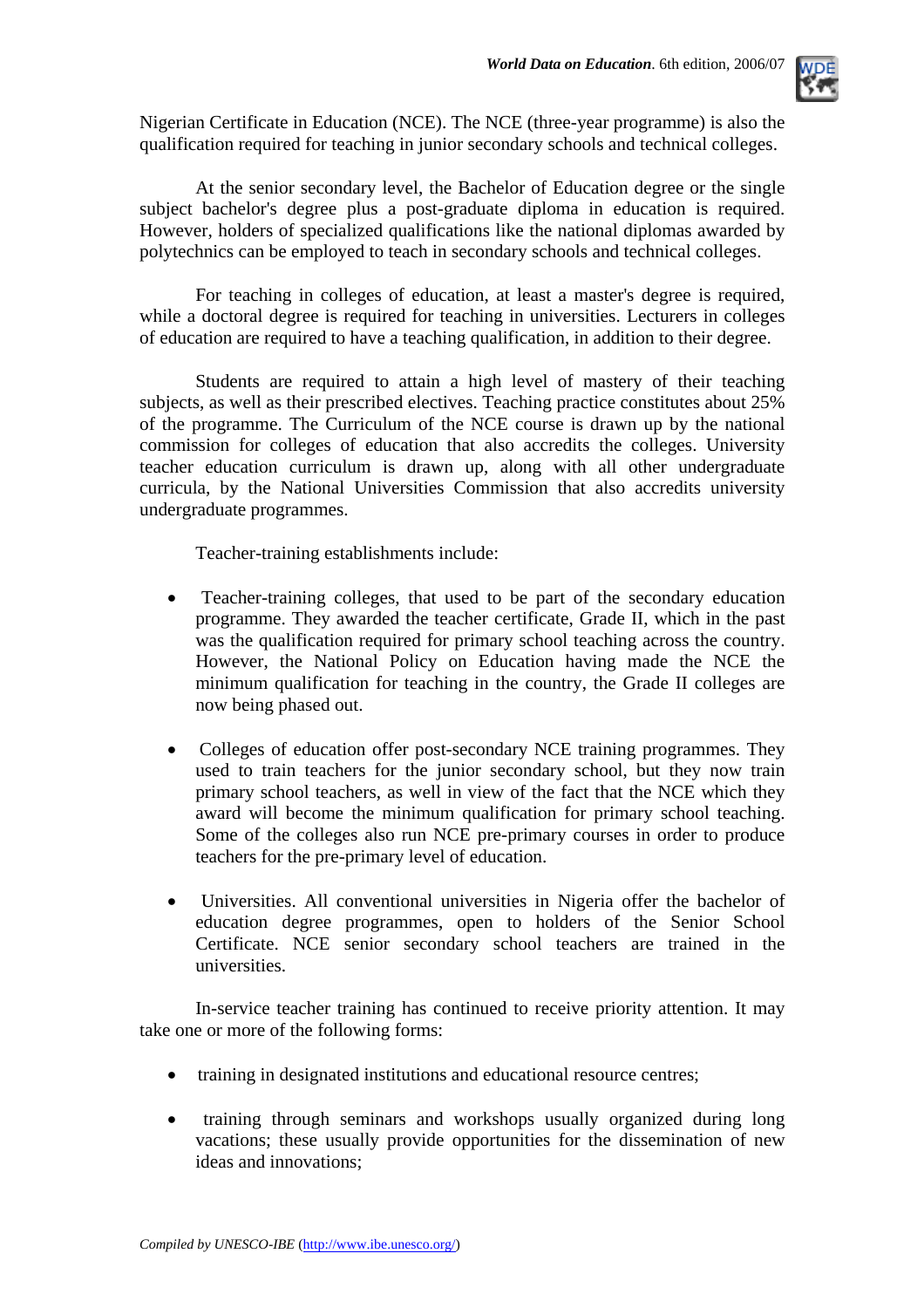

Nigerian Certificate in Education (NCE). The NCE (three-year programme) is also the qualification required for teaching in junior secondary schools and technical colleges.

At the senior secondary level, the Bachelor of Education degree or the single subject bachelor's degree plus a post-graduate diploma in education is required. However, holders of specialized qualifications like the national diplomas awarded by polytechnics can be employed to teach in secondary schools and technical colleges.

For teaching in colleges of education, at least a master's degree is required, while a doctoral degree is required for teaching in universities. Lecturers in colleges of education are required to have a teaching qualification, in addition to their degree.

Students are required to attain a high level of mastery of their teaching subjects, as well as their prescribed electives. Teaching practice constitutes about 25% of the programme. The Curriculum of the NCE course is drawn up by the national commission for colleges of education that also accredits the colleges. University teacher education curriculum is drawn up, along with all other undergraduate curricula, by the National Universities Commission that also accredits university undergraduate programmes.

Teacher-training establishments include:

- Teacher-training colleges, that used to be part of the secondary education programme. They awarded the teacher certificate, Grade II, which in the past was the qualification required for primary school teaching across the country. However, the National Policy on Education having made the NCE the minimum qualification for teaching in the country, the Grade II colleges are now being phased out.
- Colleges of education offer post-secondary NCE training programmes. They used to train teachers for the junior secondary school, but they now train primary school teachers, as well in view of the fact that the NCE which they award will become the minimum qualification for primary school teaching. Some of the colleges also run NCE pre-primary courses in order to produce teachers for the pre-primary level of education.
- Universities. All conventional universities in Nigeria offer the bachelor of education degree programmes, open to holders of the Senior School Certificate. NCE senior secondary school teachers are trained in the universities.

In-service teacher training has continued to receive priority attention. It may take one or more of the following forms:

- training in designated institutions and educational resource centres;
- training through seminars and workshops usually organized during long vacations; these usually provide opportunities for the dissemination of new ideas and innovations;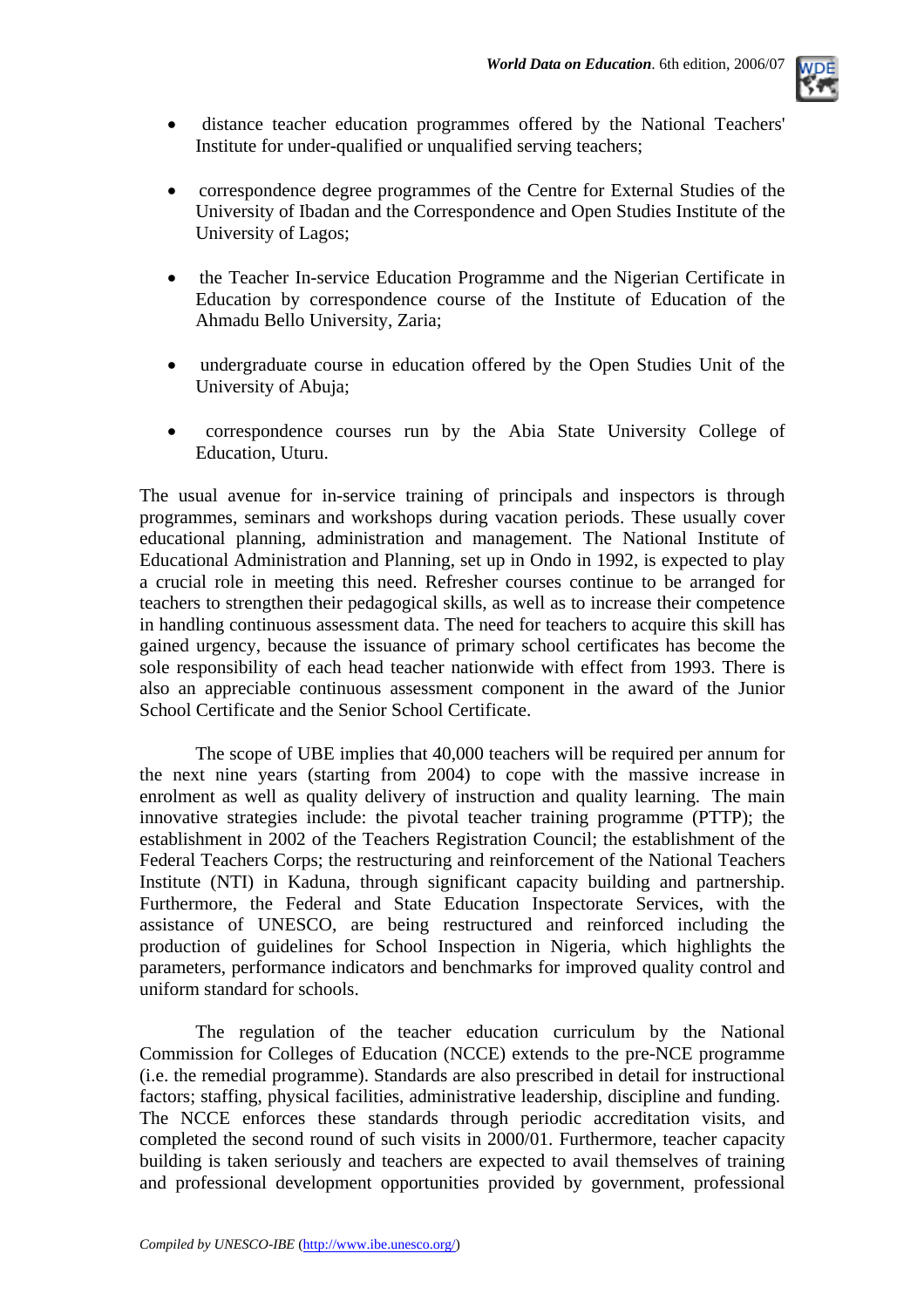

- distance teacher education programmes offered by the National Teachers' Institute for under-qualified or unqualified serving teachers;
- correspondence degree programmes of the Centre for External Studies of the University of Ibadan and the Correspondence and Open Studies Institute of the University of Lagos;
- the Teacher In-service Education Programme and the Nigerian Certificate in Education by correspondence course of the Institute of Education of the Ahmadu Bello University, Zaria;
- undergraduate course in education offered by the Open Studies Unit of the University of Abuja;
- correspondence courses run by the Abia State University College of Education, Uturu.

The usual avenue for in-service training of principals and inspectors is through programmes, seminars and workshops during vacation periods. These usually cover educational planning, administration and management. The National Institute of Educational Administration and Planning, set up in Ondo in 1992, is expected to play a crucial role in meeting this need. Refresher courses continue to be arranged for teachers to strengthen their pedagogical skills, as well as to increase their competence in handling continuous assessment data. The need for teachers to acquire this skill has gained urgency, because the issuance of primary school certificates has become the sole responsibility of each head teacher nationwide with effect from 1993. There is also an appreciable continuous assessment component in the award of the Junior School Certificate and the Senior School Certificate.

The scope of UBE implies that 40,000 teachers will be required per annum for the next nine years (starting from 2004) to cope with the massive increase in enrolment as well as quality delivery of instruction and quality learning. The main innovative strategies include: the pivotal teacher training programme (PTTP); the establishment in 2002 of the Teachers Registration Council; the establishment of the Federal Teachers Corps; the restructuring and reinforcement of the National Teachers Institute (NTI) in Kaduna, through significant capacity building and partnership. Furthermore, the Federal and State Education Inspectorate Services, with the assistance of UNESCO, are being restructured and reinforced including the production of guidelines for School Inspection in Nigeria, which highlights the parameters, performance indicators and benchmarks for improved quality control and uniform standard for schools.

The regulation of the teacher education curriculum by the National Commission for Colleges of Education (NCCE) extends to the pre-NCE programme (i.e. the remedial programme). Standards are also prescribed in detail for instructional factors; staffing, physical facilities, administrative leadership, discipline and funding. The NCCE enforces these standards through periodic accreditation visits, and completed the second round of such visits in 2000/01. Furthermore, teacher capacity building is taken seriously and teachers are expected to avail themselves of training and professional development opportunities provided by government, professional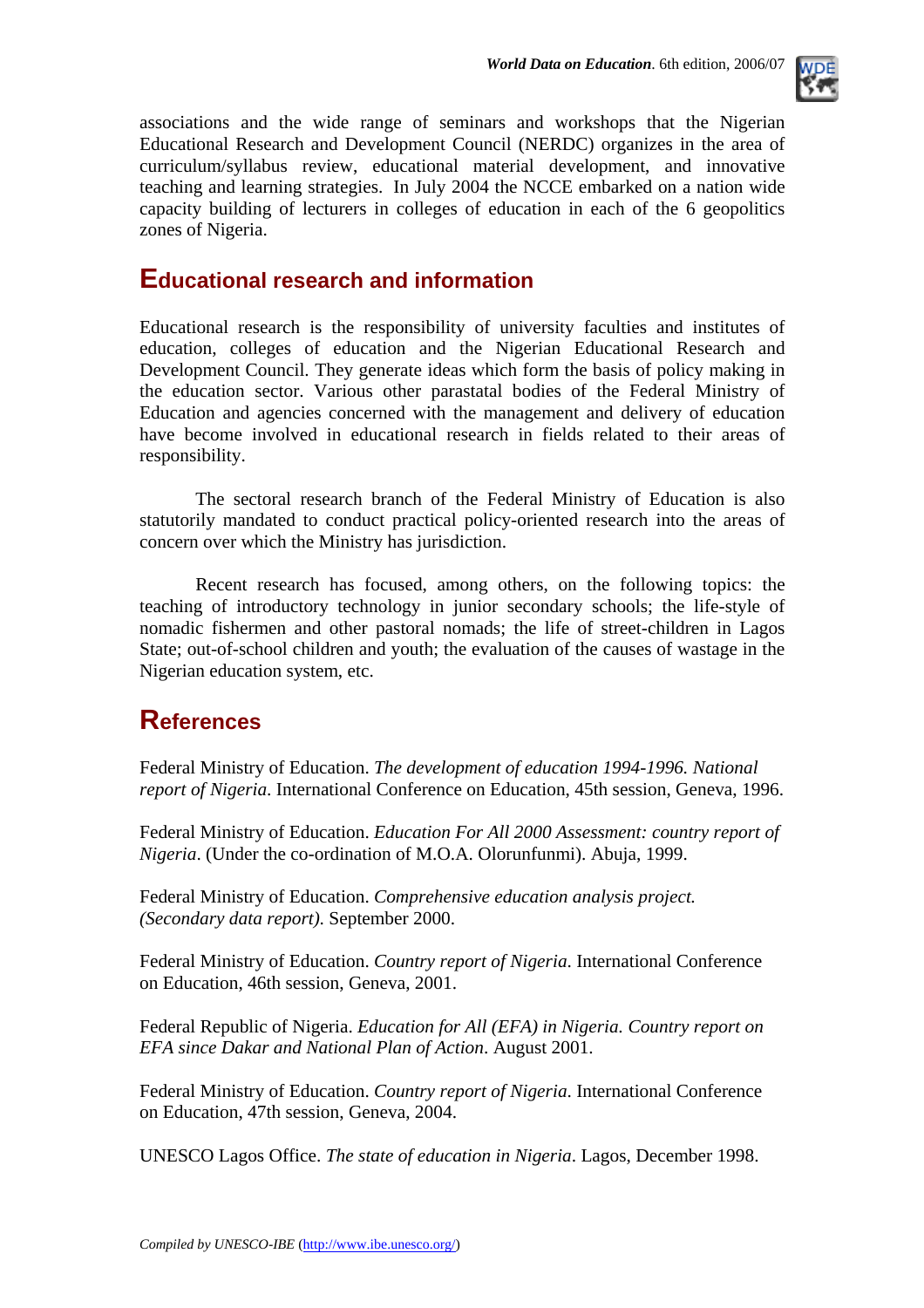

associations and the wide range of seminars and workshops that the Nigerian Educational Research and Development Council (NERDC) organizes in the area of curriculum/syllabus review, educational material development, and innovative teaching and learning strategies. In July 2004 the NCCE embarked on a nation wide capacity building of lecturers in colleges of education in each of the 6 geopolitics zones of Nigeria.

### **Educational research and information**

Educational research is the responsibility of university faculties and institutes of education, colleges of education and the Nigerian Educational Research and Development Council. They generate ideas which form the basis of policy making in the education sector. Various other parastatal bodies of the Federal Ministry of Education and agencies concerned with the management and delivery of education have become involved in educational research in fields related to their areas of responsibility.

The sectoral research branch of the Federal Ministry of Education is also statutorily mandated to conduct practical policy-oriented research into the areas of concern over which the Ministry has jurisdiction.

Recent research has focused, among others, on the following topics: the teaching of introductory technology in junior secondary schools; the life-style of nomadic fishermen and other pastoral nomads; the life of street-children in Lagos State; out-of-school children and youth; the evaluation of the causes of wastage in the Nigerian education system, etc.

### **References**

Federal Ministry of Education. *The development of education 1994-1996. National report of Nigeria*. International Conference on Education, 45th session, Geneva, 1996.

Federal Ministry of Education. *Education For All 2000 Assessment: country report of Nigeria*. (Under the co-ordination of M.O.A. Olorunfunmi). Abuja, 1999.

Federal Ministry of Education. *Comprehensive education analysis project. (Secondary data report)*. September 2000.

Federal Ministry of Education. *Country report of Nigeria*. International Conference on Education, 46th session, Geneva, 2001.

Federal Republic of Nigeria. *Education for All (EFA) in Nigeria. Country report on EFA since Dakar and National Plan of Action*. August 2001.

Federal Ministry of Education. *Country report of Nigeria*. International Conference on Education, 47th session, Geneva, 2004.

UNESCO Lagos Office. *The state of education in Nigeria*. Lagos, December 1998.